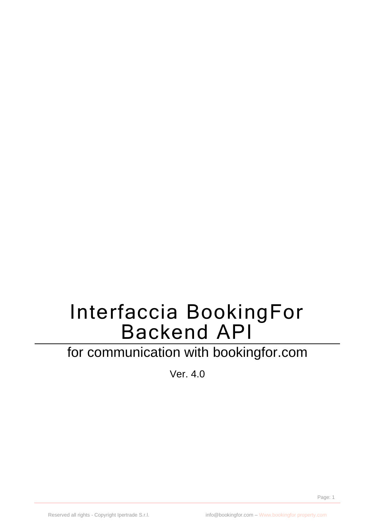# Interfaccia BookingFor Backend API

# for communication with bookingfor.com

Ver. 4.0

Page: 1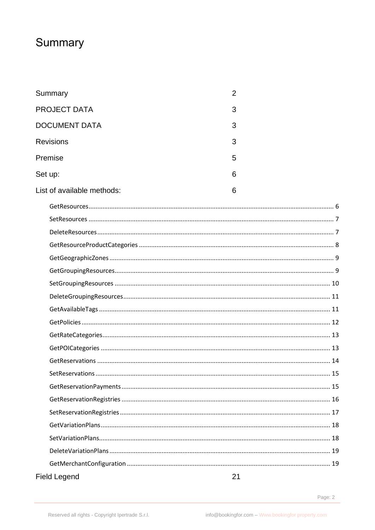# <span id="page-1-0"></span>Summary

| Summary                    | 2  |
|----------------------------|----|
| <b>PROJECT DATA</b>        | 3  |
| <b>DOCUMENT DATA</b>       | 3  |
| <b>Revisions</b>           | 3  |
| Premise                    | 5  |
| Set up:                    | 6  |
| List of available methods: | 6  |
|                            |    |
|                            |    |
|                            |    |
|                            |    |
|                            |    |
|                            |    |
|                            |    |
|                            |    |
|                            |    |
|                            |    |
|                            |    |
|                            |    |
|                            |    |
|                            |    |
|                            |    |
|                            |    |
|                            |    |
|                            |    |
|                            |    |
|                            |    |
|                            |    |
| <b>Field Legend</b>        | 21 |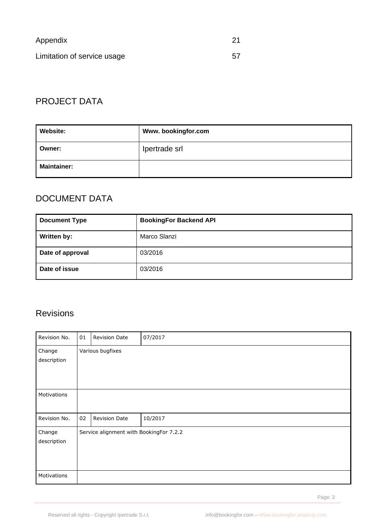| Appendix                    | -21 |
|-----------------------------|-----|
| Limitation of service usage | .57 |

# <span id="page-2-0"></span>PROJECT DATA

| Website:           | Www.bookingfor.com |
|--------------------|--------------------|
| Owner:             | Ipertrade srl      |
| <b>Maintainer:</b> |                    |

# <span id="page-2-1"></span>DOCUMENT DATA

| <b>Document Type</b> | <b>BookingFor Backend API</b> |
|----------------------|-------------------------------|
| Written by:          | Marco Slanzi                  |
| Date of approval     | 03/2016                       |
| Date of issue        | 03/2016                       |

# <span id="page-2-2"></span>Revisions

| Revision No. | 01 | <b>Revision Date</b>                    | 07/2017 |
|--------------|----|-----------------------------------------|---------|
| Change       |    | Various bugfixes                        |         |
| description  |    |                                         |         |
|              |    |                                         |         |
|              |    |                                         |         |
| Motivations  |    |                                         |         |
|              |    |                                         |         |
| Revision No. | 02 | <b>Revision Date</b>                    | 10/2017 |
| Change       |    | Service alignment with BookingFor 7.2.2 |         |
| description  |    |                                         |         |
|              |    |                                         |         |
|              |    |                                         |         |
| Motivations  |    |                                         |         |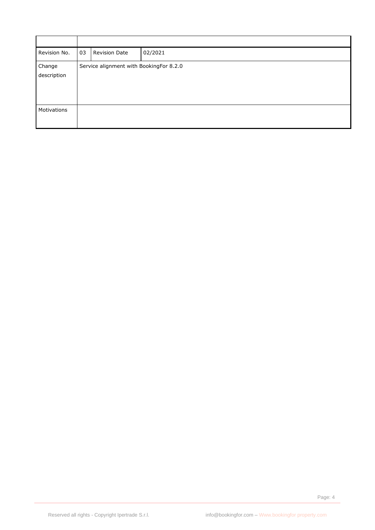| Revision No. | 03 | <b>Revision Date</b>                    | 02/2021 |
|--------------|----|-----------------------------------------|---------|
| Change       |    | Service alignment with BookingFor 8.2.0 |         |
| description  |    |                                         |         |
|              |    |                                         |         |
|              |    |                                         |         |
|              |    |                                         |         |
| Motivations  |    |                                         |         |
|              |    |                                         |         |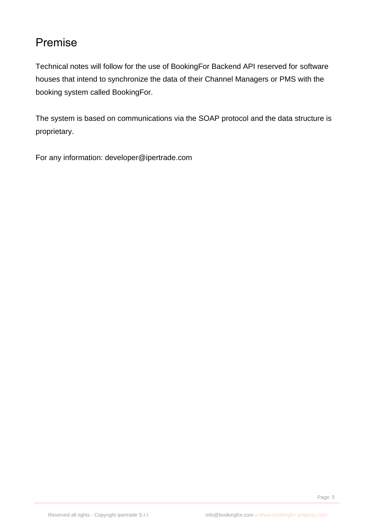# <span id="page-4-0"></span>Premise

Technical notes will follow for the use of BookingFor Backend API reserved for software houses that intend to synchronize the data of their Channel Managers or PMS with the booking system called BookingFor.

The system is based on communications via the SOAP protocol and the data structure is proprietary.

For any information: developer@ipertrade.com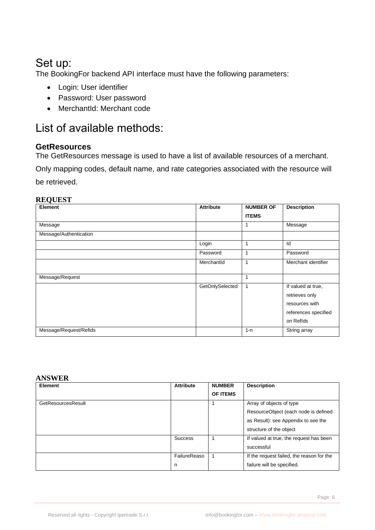# <span id="page-5-0"></span>Set up:

The BookingFor backend API interface must have the following parameters:

- Login: User identifier
- Password: User password
- MerchantId: Merchant code

# <span id="page-5-1"></span>List of available methods:

# <span id="page-5-2"></span>**GetResources**

The GetResources message is used to have a list of available resources of a merchant.

Only mapping codes, default name, and rate categories associated with the resource will be retrieved.

### **REQUEST**

| Element                | <b>Attribute</b> | <b>NUMBER OF</b> | <b>Description</b>                                                                          |
|------------------------|------------------|------------------|---------------------------------------------------------------------------------------------|
|                        |                  | <b>ITEMS</b>     |                                                                                             |
| Message                |                  |                  | Message                                                                                     |
| Message/Authentication |                  |                  |                                                                                             |
|                        | Login            |                  | Id                                                                                          |
|                        | Password         | 1                | Password                                                                                    |
|                        | MerchantId       | 1                | Merchant identifier                                                                         |
| Message/Request        |                  |                  |                                                                                             |
|                        | GetOnlySelected  |                  | If valued at true,<br>retrieves only<br>resources with<br>references specified<br>on Reflds |
| Message/Request/Refids |                  | $1 - n$          | String array                                                                                |

#### **ANSWER**

| <b>Element</b>     | <b>Attribute</b> | <b>NUMBER</b>   | <b>Description</b>                        |
|--------------------|------------------|-----------------|-------------------------------------------|
|                    |                  | <b>OF ITEMS</b> |                                           |
| GetResourcesResult |                  |                 | Array of objects of type                  |
|                    |                  |                 | ResourceObject (each node is defined      |
|                    |                  |                 | as Result): see Appendix to see the       |
|                    |                  |                 | structure of the object                   |
|                    | <b>Success</b>   |                 | If valued at true, the request has been   |
|                    |                  |                 | successful                                |
|                    | FailureReaso     |                 | If the request failed, the reason for the |
|                    | n                |                 | failure will be specified.                |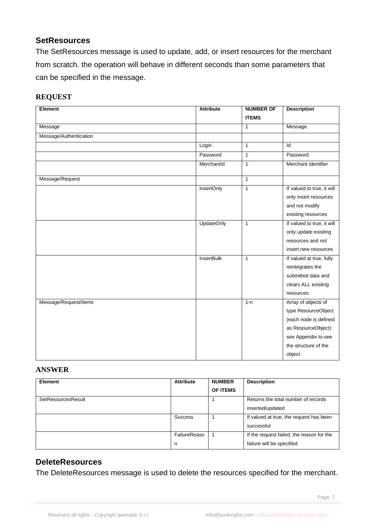# <span id="page-6-0"></span>**SetResources**

The SetResources message is used to update, add, or insert resources for the merchant from scratch. the operation will behave in different seconds than some parameters that can be specified in the message.

#### **REQUEST**

| Element                | <b>Attribute</b>  | <b>NUMBER OF</b> | <b>Description</b>         |
|------------------------|-------------------|------------------|----------------------------|
|                        |                   | <b>ITEMS</b>     |                            |
| Message                |                   | $\mathbf{1}$     | Message                    |
| Message/Authentication |                   |                  |                            |
|                        | Login             | $\mathbf{1}$     | Id                         |
|                        | Password          | $\overline{1}$   | Password                   |
|                        | MerchantId        | $\overline{1}$   | Merchant identifier        |
| Message/Request        |                   | $\mathbf{1}$     |                            |
|                        | <b>InsertOnly</b> | $\mathbf{1}$     | If valued to true, it will |
|                        |                   |                  | only insert resources      |
|                        |                   |                  | and not modify             |
|                        |                   |                  | existing resources         |
|                        | <b>UpdateOnly</b> | $\mathbf{1}$     | If valued to true, it will |
|                        |                   |                  | only update existing       |
|                        |                   |                  | resources and not          |
|                        |                   |                  | insert new resources       |
|                        | <b>InsertBulk</b> | $\mathbf{1}$     | If valued at true, fully   |
|                        |                   |                  | reintegrates the           |
|                        |                   |                  | submitted data and         |
|                        |                   |                  | clears ALL existing        |
|                        |                   |                  | resources                  |
| Message/Request/Items  |                   | $1 - n$          | Array of objects of        |
|                        |                   |                  | type ResourceObject        |
|                        |                   |                  | (each node is defined      |
|                        |                   |                  | as ResourceObject):        |
|                        |                   |                  | see Appendix to see        |
|                        |                   |                  | the structure of the       |
|                        |                   |                  | object                     |

#### **ANSWER**

| <b>Element</b>     | <b>Attribute</b> | <b>NUMBER</b>   | <b>Description</b>                        |
|--------------------|------------------|-----------------|-------------------------------------------|
|                    |                  | <b>OF ITEMS</b> |                                           |
| SetResourcesResult |                  |                 | Returns the total number of records       |
|                    |                  |                 | inserted/updated                          |
|                    | <b>Success</b>   |                 | If valued at true, the request has been   |
|                    |                  |                 | successful                                |
|                    | FailureReaso     | 1               | If the request failed, the reason for the |
|                    | n                |                 | failure will be specified.                |

## <span id="page-6-1"></span>**DeleteResources**

The DeleteResources message is used to delete the resources specified for the merchant.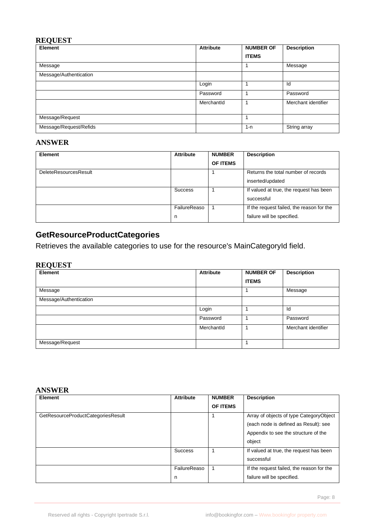#### **REQUEST**

| Element                | <b>Attribute</b> | <b>NUMBER OF</b> | <b>Description</b>  |
|------------------------|------------------|------------------|---------------------|
|                        |                  | <b>ITEMS</b>     |                     |
| Message                |                  |                  | Message             |
| Message/Authentication |                  |                  |                     |
|                        | Login            |                  | Id                  |
|                        | Password         |                  | Password            |
|                        | MerchantId       |                  | Merchant identifier |
| Message/Request        |                  | ٠                |                     |
| Message/Request/Refids |                  | $1 - n$          | String array        |

#### **ANSWER**

| <b>Element</b>               | <b>Attribute</b> | <b>NUMBER</b> | <b>Description</b>                        |
|------------------------------|------------------|---------------|-------------------------------------------|
|                              |                  | OF ITEMS      |                                           |
| <b>DeleteResourcesResult</b> |                  |               | Returns the total number of records       |
|                              |                  |               | inserted/updated                          |
|                              | <b>Success</b>   |               | If valued at true, the request has been   |
|                              |                  |               | successful                                |
|                              | FailureReaso     |               | If the request failed, the reason for the |
|                              | n                |               | failure will be specified.                |

# <span id="page-7-0"></span>**GetResourceProductCategories**

Retrieves the available categories to use for the resource's MainCategoryId field.

#### **REQUEST**

| È<br>Element           | <b>Attribute</b> | <b>NUMBER OF</b> | <b>Description</b>  |
|------------------------|------------------|------------------|---------------------|
|                        |                  | <b>ITEMS</b>     |                     |
| Message                |                  |                  | Message             |
| Message/Authentication |                  |                  |                     |
|                        | Login            |                  | Id                  |
|                        | Password         |                  | Password            |
|                        | MerchantId       |                  | Merchant identifier |
| Message/Request        |                  |                  |                     |

#### **ANSWER**

| Element                            | <b>Attribute</b> | <b>NUMBER</b>   | <b>Description</b>                        |
|------------------------------------|------------------|-----------------|-------------------------------------------|
|                                    |                  | <b>OF ITEMS</b> |                                           |
| GetResourceProductCategoriesResult |                  |                 | Array of objects of type Category Object  |
|                                    |                  |                 | (each node is defined as Result): see     |
|                                    |                  |                 | Appendix to see the structure of the      |
|                                    |                  |                 | object                                    |
|                                    | <b>Success</b>   |                 | If valued at true, the request has been   |
|                                    |                  |                 | successful                                |
|                                    | FailureReaso     |                 | If the request failed, the reason for the |
|                                    | n                |                 | failure will be specified.                |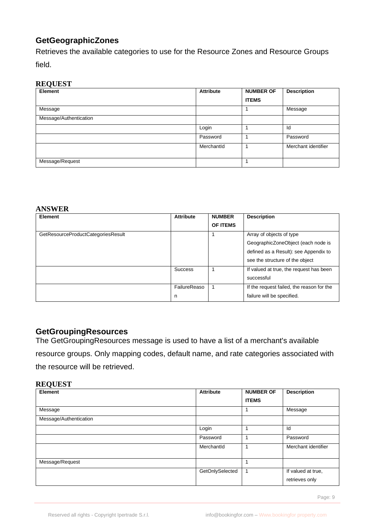# <span id="page-8-0"></span>**GetGeographicZones**

Retrieves the available categories to use for the Resource Zones and Resource Groups field.

#### **REQUEST**

| $\sim$ $-$<br>Element  | <b>Attribute</b> | <b>NUMBER OF</b> | <b>Description</b>  |
|------------------------|------------------|------------------|---------------------|
|                        |                  | <b>ITEMS</b>     |                     |
| Message                |                  |                  | Message             |
| Message/Authentication |                  |                  |                     |
|                        | Login            |                  | Id                  |
|                        | Password         |                  | Password            |
|                        | MerchantId       |                  | Merchant identifier |
| Message/Request        |                  |                  |                     |

#### **ANSWER**

| <b>Element</b>                     | <b>Attribute</b> | <b>NUMBER</b>   | <b>Description</b>                        |
|------------------------------------|------------------|-----------------|-------------------------------------------|
|                                    |                  | <b>OF ITEMS</b> |                                           |
| GetResourceProductCategoriesResult |                  |                 | Array of objects of type                  |
|                                    |                  |                 | GeographicZoneObject (each node is        |
|                                    |                  |                 | defined as a Result): see Appendix to     |
|                                    |                  |                 | see the structure of the object           |
|                                    | <b>Success</b>   |                 | If valued at true, the request has been   |
|                                    |                  |                 | successful                                |
|                                    | FailureReaso     | -1              | If the request failed, the reason for the |
|                                    | n                |                 | failure will be specified.                |

### <span id="page-8-1"></span>**GetGroupingResources**

The GetGroupingResources message is used to have a list of a merchant's available

resource groups. Only mapping codes, default name, and rate categories associated with

the resource will be retrieved.

#### **REQUEST**

| – ≔<br><b>Element</b>  | <b>Attribute</b> | <b>NUMBER OF</b> | <b>Description</b>                   |
|------------------------|------------------|------------------|--------------------------------------|
|                        |                  | <b>ITEMS</b>     |                                      |
| Message                |                  |                  | Message                              |
| Message/Authentication |                  |                  |                                      |
|                        | Login            |                  | Id                                   |
|                        | Password         |                  | Password                             |
|                        | MerchantId       |                  | Merchant identifier                  |
| Message/Request        |                  |                  |                                      |
|                        | GetOnlySelected  |                  | If valued at true,<br>retrieves only |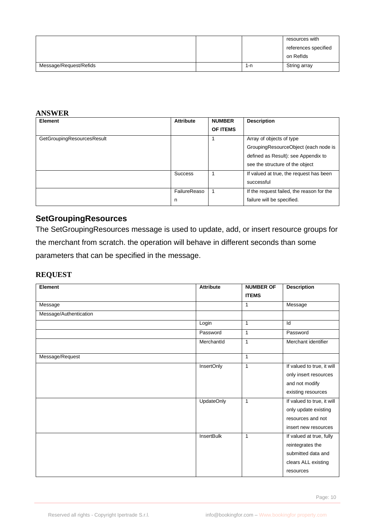|                        |     | resources with       |
|------------------------|-----|----------------------|
|                        |     | references specified |
|                        |     | on Reflds            |
| Message/Request/Refids | 1-n | String array         |

#### **ANSWER**

| <b>Element</b>             | <b>Attribute</b> | <b>NUMBER</b>   | <b>Description</b>                        |
|----------------------------|------------------|-----------------|-------------------------------------------|
|                            |                  | <b>OF ITEMS</b> |                                           |
| GetGroupingResourcesResult |                  |                 | Array of objects of type                  |
|                            |                  |                 | GroupingResourceObject (each node is      |
|                            |                  |                 | defined as Result): see Appendix to       |
|                            |                  |                 | see the structure of the object           |
|                            | <b>Success</b>   |                 | If valued at true, the request has been   |
|                            |                  |                 | successful                                |
|                            | FailureReaso     |                 | If the request failed, the reason for the |
|                            | n                |                 | failure will be specified.                |

# <span id="page-9-0"></span>**SetGroupingResources**

The SetGroupingResources message is used to update, add, or insert resource groups for the merchant from scratch. the operation will behave in different seconds than some parameters that can be specified in the message.

## **REQUEST**

| Element                | <b>Attribute</b>  | <b>NUMBER OF</b> | <b>Description</b>         |
|------------------------|-------------------|------------------|----------------------------|
|                        |                   | <b>ITEMS</b>     |                            |
| Message                |                   | $\mathbf{1}$     | Message                    |
| Message/Authentication |                   |                  |                            |
|                        | Login             | $\mathbf{1}$     | Id                         |
|                        | Password          | 1                | Password                   |
|                        | MerchantId        | $\mathbf{1}$     | Merchant identifier        |
| Message/Request        |                   | $\mathbf{1}$     |                            |
|                        | InsertOnly        | $\mathbf{1}$     | If valued to true, it will |
|                        |                   |                  | only insert resources      |
|                        |                   |                  | and not modify             |
|                        |                   |                  | existing resources         |
|                        | <b>UpdateOnly</b> | $\mathbf{1}$     | If valued to true, it will |
|                        |                   |                  | only update existing       |
|                        |                   |                  | resources and not          |
|                        |                   |                  | insert new resources       |
|                        | InsertBulk        | $\mathbf{1}$     | If valued at true, fully   |
|                        |                   |                  | reintegrates the           |
|                        |                   |                  | submitted data and         |
|                        |                   |                  | clears ALL existing        |
|                        |                   |                  | resources                  |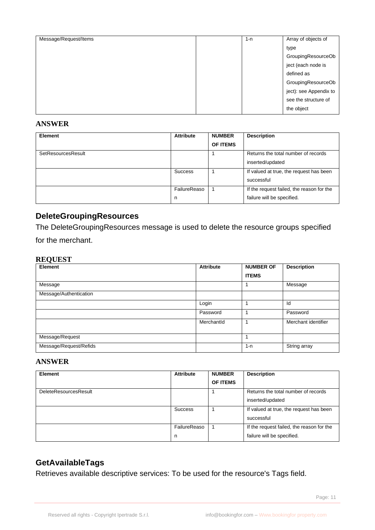| Message/Request/Items | $1 - n$ | Array of objects of    |
|-----------------------|---------|------------------------|
|                       |         | type                   |
|                       |         | GroupingResourceOb     |
|                       |         | ject (each node is     |
|                       |         | defined as             |
|                       |         | GroupingResourceOb     |
|                       |         | ject): see Appendix to |
|                       |         | see the structure of   |
|                       |         | the object             |
|                       |         |                        |

#### **ANSWER**

| Element            | <b>Attribute</b>  | <b>NUMBER</b><br><b>OF ITEMS</b> | <b>Description</b>                                                      |
|--------------------|-------------------|----------------------------------|-------------------------------------------------------------------------|
| SetResourcesResult |                   |                                  | Returns the total number of records<br>inserted/updated                 |
|                    | <b>Success</b>    |                                  | If valued at true, the request has been<br>successful                   |
|                    | FailureReaso<br>n |                                  | If the request failed, the reason for the<br>failure will be specified. |

# <span id="page-10-0"></span>**DeleteGroupingResources**

The DeleteGroupingResources message is used to delete the resource groups specified for the merchant.

#### **REQUEST**

| <b>Element</b>         | <b>Attribute</b> | <b>NUMBER OF</b> | <b>Description</b>  |
|------------------------|------------------|------------------|---------------------|
|                        |                  | <b>ITEMS</b>     |                     |
| Message                |                  |                  | Message             |
| Message/Authentication |                  |                  |                     |
|                        | Login            |                  | Id                  |
|                        | Password         |                  | Password            |
|                        | Merchantld       |                  | Merchant identifier |
| Message/Request        |                  |                  |                     |
| Message/Request/Refids |                  | $1 - n$          | String array        |

#### **ANSWER**

| <b>Element</b>               | <b>Attribute</b> | <b>NUMBER</b> | <b>Description</b>                        |
|------------------------------|------------------|---------------|-------------------------------------------|
|                              |                  | OF ITEMS      |                                           |
| <b>DeleteResourcesResult</b> |                  |               | Returns the total number of records       |
|                              |                  |               | inserted/updated                          |
|                              | Success          |               | If valued at true, the request has been   |
|                              |                  |               | successful                                |
|                              | FailureReaso     |               | If the request failed, the reason for the |
|                              | n.               |               | failure will be specified.                |

# <span id="page-10-1"></span>**GetAvailableTags**

Retrieves available descriptive services: To be used for the resource's Tags field.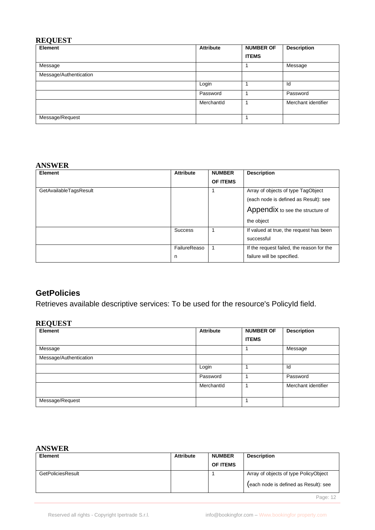#### **REQUEST**

| Element                | <b>Attribute</b> | <b>NUMBER OF</b> | <b>Description</b>  |
|------------------------|------------------|------------------|---------------------|
|                        |                  | <b>ITEMS</b>     |                     |
| Message                |                  |                  | Message             |
| Message/Authentication |                  |                  |                     |
|                        | Login            |                  | Id                  |
|                        | Password         |                  | Password            |
|                        | MerchantId       |                  | Merchant identifier |
| Message/Request        |                  |                  |                     |

#### **ANSWER**

| Element                | <b>Attribute</b> | <b>NUMBER</b>   | <b>Description</b>                        |
|------------------------|------------------|-----------------|-------------------------------------------|
|                        |                  | <b>OF ITEMS</b> |                                           |
| GetAvailableTagsResult |                  |                 | Array of objects of type TagObject        |
|                        |                  |                 | (each node is defined as Result): see     |
|                        |                  |                 | Appendix to see the structure of          |
|                        |                  |                 | the object                                |
|                        | <b>Success</b>   |                 | If valued at true, the request has been   |
|                        |                  |                 | successful                                |
|                        | FailureReaso     |                 | If the request failed, the reason for the |
|                        | n                |                 | failure will be specified.                |

# <span id="page-11-0"></span>**GetPolicies**

Retrieves available descriptive services: To be used for the resource's PolicyId field.

# **REQUEST**

| $\overline{\phantom{a}}$<br>Element | <b>Attribute</b> | <b>NUMBER OF</b> | <b>Description</b>  |
|-------------------------------------|------------------|------------------|---------------------|
|                                     |                  | <b>ITEMS</b>     |                     |
| Message                             |                  |                  | Message             |
| Message/Authentication              |                  |                  |                     |
|                                     | Login            |                  | Id                  |
|                                     | Password         |                  | Password            |
|                                     | MerchantId       |                  | Merchant identifier |
| Message/Request                     |                  |                  |                     |

#### **ANSWER**

| Element           | <b>Attribute</b> | <b>NUMBER</b>   | <b>Description</b>                    |
|-------------------|------------------|-----------------|---------------------------------------|
|                   |                  | <b>OF ITEMS</b> |                                       |
| GetPoliciesResult |                  |                 | Array of objects of type PolicyObject |
|                   |                  |                 | (each node is defined as Result): see |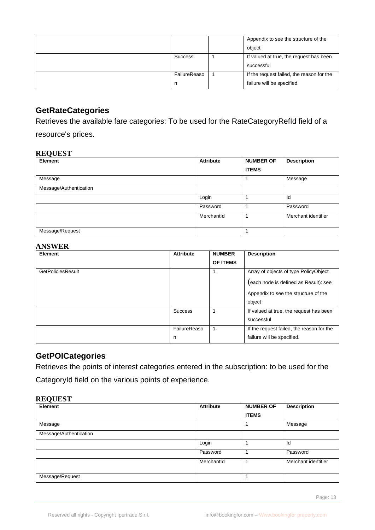|                   | Appendix to see the structure of the<br>object                          |
|-------------------|-------------------------------------------------------------------------|
| <b>Success</b>    | If valued at true, the request has been<br>successful                   |
| FailureReaso<br>n | If the request failed, the reason for the<br>failure will be specified. |

# <span id="page-12-0"></span>**GetRateCategories**

Retrieves the available fare categories: To be used for the RateCategoryRefId field of a resource's prices.

#### **REQUEST**

| Element                | <b>Attribute</b> | <b>NUMBER OF</b> | <b>Description</b>  |
|------------------------|------------------|------------------|---------------------|
|                        |                  | <b>ITEMS</b>     |                     |
| Message                |                  |                  | Message             |
| Message/Authentication |                  |                  |                     |
|                        | Login            |                  | ld                  |
|                        | Password         |                  | Password            |
|                        | MerchantId       |                  | Merchant identifier |
| Message/Request        |                  |                  |                     |

#### **ANSWER**

| Element                  | <b>Attribute</b> | <b>NUMBER</b>   | <b>Description</b>                        |
|--------------------------|------------------|-----------------|-------------------------------------------|
|                          |                  | <b>OF ITEMS</b> |                                           |
| <b>GetPoliciesResult</b> |                  |                 | Array of objects of type PolicyObject     |
|                          |                  |                 | (each node is defined as Result): see     |
|                          |                  |                 | Appendix to see the structure of the      |
|                          |                  |                 | object                                    |
|                          | <b>Success</b>   |                 | If valued at true, the request has been   |
|                          |                  |                 | successful                                |
|                          | FailureReaso     | 1               | If the request failed, the reason for the |
|                          | n                |                 | failure will be specified.                |

# <span id="page-12-1"></span>**GetPOICategories**

Retrieves the points of interest categories entered in the subscription: to be used for the CategoryId field on the various points of experience.

#### **REQUEST**

| Element                | <b>Attribute</b> | <b>NUMBER OF</b> | <b>Description</b>  |
|------------------------|------------------|------------------|---------------------|
|                        |                  | <b>ITEMS</b>     |                     |
| Message                |                  |                  | Message             |
| Message/Authentication |                  |                  |                     |
|                        | Login            |                  | Id                  |
|                        | Password         |                  | Password            |
|                        | MerchantId       |                  | Merchant identifier |
| Message/Request        |                  |                  |                     |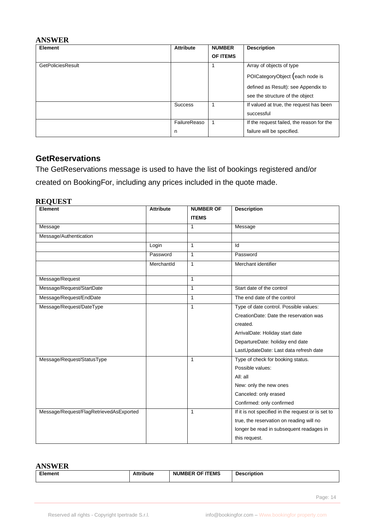#### **ANSWER**

| Element                  | <b>Attribute</b> | <b>NUMBER</b> | <b>Description</b>                        |
|--------------------------|------------------|---------------|-------------------------------------------|
|                          |                  | OF ITEMS      |                                           |
| <b>GetPoliciesResult</b> |                  |               | Array of objects of type                  |
|                          |                  |               | POICategoryObject (each node is           |
|                          |                  |               | defined as Result): see Appendix to       |
|                          |                  |               | see the structure of the object           |
|                          | <b>Success</b>   |               | If valued at true, the request has been   |
|                          |                  |               | successful                                |
|                          | FailureReaso     |               | If the request failed, the reason for the |
|                          | n                |               | failure will be specified.                |

### <span id="page-13-0"></span>**GetReservations**

The GetReservations message is used to have the list of bookings registered and/or created on BookingFor, including any prices included in the quote made.

#### **REQUEST**

| Element                                 | <b>Attribute</b> | <b>NUMBER OF</b> | <b>Description</b>                                 |
|-----------------------------------------|------------------|------------------|----------------------------------------------------|
|                                         |                  | <b>ITEMS</b>     |                                                    |
| Message                                 |                  | $\mathbf{1}$     | Message                                            |
| Message/Authentication                  |                  |                  |                                                    |
|                                         | Login            | 1                | Id                                                 |
|                                         | Password         | $\mathbf{1}$     | Password                                           |
|                                         | MerchantId       | 1                | Merchant identifier                                |
| Message/Request                         |                  | 1                |                                                    |
| Message/Request/StartDate               |                  | 1                | Start date of the control                          |
| Message/Request/EndDate                 |                  | $\mathbf{1}$     | The end date of the control                        |
| Message/Request/DateType                |                  | $\mathbf{1}$     | Type of date control. Possible values:             |
|                                         |                  |                  | CreationDate: Date the reservation was             |
|                                         |                  |                  | created.                                           |
|                                         |                  |                  | ArrivalDate: Holiday start date                    |
|                                         |                  |                  | DepartureDate: holiday end date                    |
|                                         |                  |                  | LastUpdateDate: Last data refresh date             |
| Message/Request/StatusType              |                  | 1                | Type of check for booking status.                  |
|                                         |                  |                  | Possible values:                                   |
|                                         |                  |                  | All: all                                           |
|                                         |                  |                  | New: only the new ones                             |
|                                         |                  |                  | Canceled: only erased                              |
|                                         |                  |                  | Confirmed: only confirmed                          |
| Message/Request/FlagRetrievedAsExported |                  | $\mathbf{1}$     | If it is not specified in the request or is set to |
|                                         |                  |                  | true, the reservation on reading will no           |
|                                         |                  |                  | longer be read in subsequent readages in           |
|                                         |                  |                  | this request.                                      |

#### **ANSWER**

| --- -- - - -- - - |                  |                        |                    |
|-------------------|------------------|------------------------|--------------------|
| EL.<br>∙ment      | <b>Attribute</b> | <b>NUMBER OF ITEMS</b> | <b>Description</b> |
|                   |                  |                        |                    |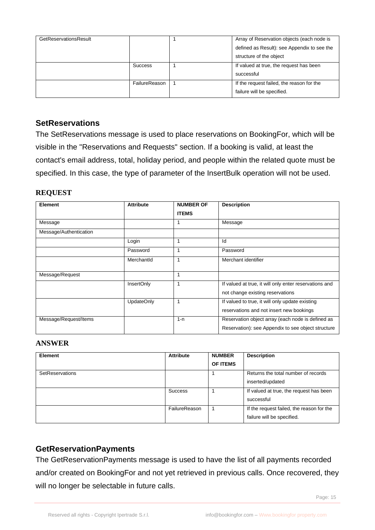| GetReservationsResult |                | Array of Reservation objects (each node is  |
|-----------------------|----------------|---------------------------------------------|
|                       |                | defined as Result): see Appendix to see the |
|                       |                | structure of the object                     |
|                       | <b>Success</b> | If valued at true, the request has been     |
|                       |                | successful                                  |
|                       | FailureReason  | If the request failed, the reason for the   |
|                       |                | failure will be specified.                  |

### <span id="page-14-0"></span>**SetReservations**

The SetReservations message is used to place reservations on BookingFor, which will be visible in the "Reservations and Requests" section. If a booking is valid, at least the contact's email address, total, holiday period, and people within the related quote must be specified. In this case, the type of parameter of the InsertBulk operation will not be used.

#### **REQUEST**

| Element                | <b>Attribute</b>  | <b>NUMBER OF</b> | <b>Description</b>                                     |
|------------------------|-------------------|------------------|--------------------------------------------------------|
|                        |                   | <b>ITEMS</b>     |                                                        |
| Message                |                   | 1                | Message                                                |
| Message/Authentication |                   |                  |                                                        |
|                        | Login             |                  | Id                                                     |
|                        | Password          |                  | Password                                               |
|                        | MerchantId        | 1                | Merchant identifier                                    |
| Message/Request        |                   | 1                |                                                        |
|                        | InsertOnly        | 1                | If valued at true, it will only enter reservations and |
|                        |                   |                  | not change existing reservations                       |
|                        | <b>UpdateOnly</b> | 1                | If valued to true, it will only update existing        |
|                        |                   |                  | reservations and not insert new bookings               |
| Message/Request/Items  |                   | $1 - n$          | Reservation object array (each node is defined as      |
|                        |                   |                  | Reservation): see Appendix to see object structure     |

#### **ANSWER**

| <b>Element</b>  | <b>Attribute</b> | <b>NUMBER</b><br>OF ITEMS | <b>Description</b>                                                      |
|-----------------|------------------|---------------------------|-------------------------------------------------------------------------|
| SetReservations |                  |                           | Returns the total number of records<br>inserted/updated                 |
|                 | Success          |                           | If valued at true, the request has been<br>successful                   |
|                 | FailureReason    |                           | If the request failed, the reason for the<br>failure will be specified. |

## <span id="page-14-1"></span>**GetReservationPayments**

The GetReservationPayments message is used to have the list of all payments recorded and/or created on BookingFor and not yet retrieved in previous calls. Once recovered, they will no longer be selectable in future calls.

Page: 15 April 2014 12:30 April 2014 12:30 April 2014 12:30 April 2014 12:30 April 2014 12:30 April 2014 12:30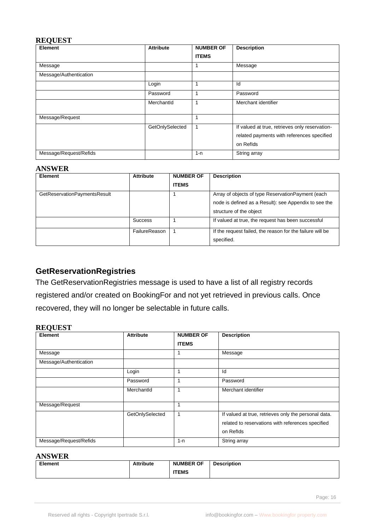#### **REQUEST**

| <b>Element</b>         | <b>Attribute</b> | <b>NUMBER OF</b> | <b>Description</b>                                                                                        |
|------------------------|------------------|------------------|-----------------------------------------------------------------------------------------------------------|
|                        |                  | <b>ITEMS</b>     |                                                                                                           |
| Message                |                  |                  | Message                                                                                                   |
| Message/Authentication |                  |                  |                                                                                                           |
|                        | Login            |                  | ld                                                                                                        |
|                        | Password         |                  | Password                                                                                                  |
|                        | MerchantId       |                  | Merchant identifier                                                                                       |
| Message/Request        |                  |                  |                                                                                                           |
|                        | GetOnlySelected  |                  | If valued at true, retrieves only reservation-<br>related payments with references specified<br>on Reflds |
| Message/Request/Refids |                  | $1 - n$          | String array                                                                                              |

#### **ANSWER**

| <b>Element</b>               | <b>Attribute</b> | <b>NUMBER OF</b><br><b>ITEMS</b> | <b>Description</b>                                                                                                                    |
|------------------------------|------------------|----------------------------------|---------------------------------------------------------------------------------------------------------------------------------------|
| GetReservationPaymentsResult |                  |                                  | Array of objects of type ReservationPayment (each<br>node is defined as a Result): see Appendix to see the<br>structure of the object |
|                              | <b>Success</b>   |                                  | If valued at true, the request has been successful                                                                                    |
|                              | FailureReason    |                                  | If the request failed, the reason for the failure will be<br>specified.                                                               |

# <span id="page-15-0"></span>**GetReservationRegistries**

The GetReservationRegistries message is used to have a list of all registry records registered and/or created on BookingFor and not yet retrieved in previous calls. Once recovered, they will no longer be selectable in future calls.

#### **REQUEST**

| <b>Element</b>         | <b>Attribute</b> | <b>NUMBER OF</b> | <b>Description</b>                                                                                                     |
|------------------------|------------------|------------------|------------------------------------------------------------------------------------------------------------------------|
|                        |                  | <b>ITEMS</b>     |                                                                                                                        |
| Message                |                  |                  | Message                                                                                                                |
| Message/Authentication |                  |                  |                                                                                                                        |
|                        | Login            |                  | Id                                                                                                                     |
|                        | Password         |                  | Password                                                                                                               |
|                        | MerchantId       |                  | Merchant identifier                                                                                                    |
| Message/Request        |                  |                  |                                                                                                                        |
|                        | GetOnlySelected  |                  | If valued at true, retrieves only the personal data.<br>related to reservations with references specified<br>on Reflds |
| Message/Request/Refids |                  | $1 - n$          | String array                                                                                                           |

#### **ANSWER**

| <b>Element</b> | <b>Attribute</b> | <b>NUMBER OF</b> | <b>Description</b> |
|----------------|------------------|------------------|--------------------|
|                |                  | <b>ITEMS</b>     |                    |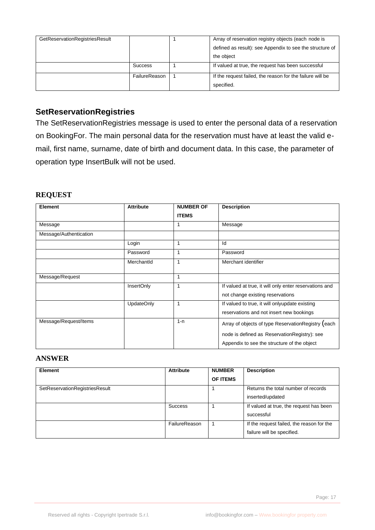| GetReservationRegistriesResult |                | Array of reservation registry objects (each node is       |
|--------------------------------|----------------|-----------------------------------------------------------|
|                                |                | defined as result): see Appendix to see the structure of  |
|                                |                | the object                                                |
|                                | <b>Success</b> | If valued at true, the request has been successful        |
|                                | FailureReason  | If the request failed, the reason for the failure will be |
|                                |                | specified.                                                |

# <span id="page-16-0"></span>**SetReservationRegistries**

The SetReservationRegistries message is used to enter the personal data of a reservation on BookingFor. The main personal data for the reservation must have at least the valid email, first name, surname, date of birth and document data. In this case, the parameter of operation type InsertBulk will not be used.

#### **REQUEST**

| <b>Element</b>         | <b>Attribute</b>  | <b>NUMBER OF</b> | <b>Description</b>                                     |
|------------------------|-------------------|------------------|--------------------------------------------------------|
|                        |                   | <b>ITEMS</b>     |                                                        |
| Message                |                   |                  | Message                                                |
| Message/Authentication |                   |                  |                                                        |
|                        | Login             | 1                | Id                                                     |
|                        | Password          | 1                | Password                                               |
|                        | MerchantId        | 1                | Merchant identifier                                    |
|                        |                   |                  |                                                        |
| Message/Request        |                   | 1                |                                                        |
|                        | InsertOnly        | 1                | If valued at true, it will only enter reservations and |
|                        |                   |                  | not change existing reservations                       |
|                        | <b>UpdateOnly</b> | 1                | If valued to true, it will onlyupdate existing         |
|                        |                   |                  | reservations and not insert new bookings               |
| Message/Request/Items  |                   | $1 - n$          | Array of objects of type ReservationRegistry (each     |
|                        |                   |                  | node is defined as ReservationRegistry): see           |
|                        |                   |                  | Appendix to see the structure of the object            |

#### **ANSWER**

| <b>Element</b>                 | <b>Attribute</b> | <b>NUMBER</b> | <b>Description</b>                        |
|--------------------------------|------------------|---------------|-------------------------------------------|
|                                |                  | OF ITEMS      |                                           |
| SetReservationRegistriesResult |                  |               | Returns the total number of records       |
|                                |                  |               | inserted/updated                          |
|                                | <b>Success</b>   |               | If valued at true, the request has been   |
|                                |                  |               | successful                                |
|                                | FailureReason    |               | If the request failed, the reason for the |
|                                |                  |               | failure will be specified.                |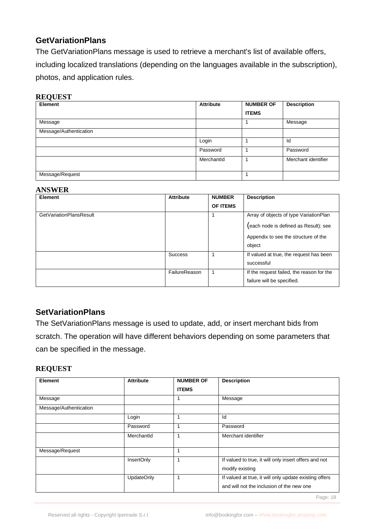# <span id="page-17-0"></span>**GetVariationPlans**

The GetVariationPlans message is used to retrieve a merchant's list of available offers, including localized translations (depending on the languages available in the subscription), photos, and application rules.

#### **REQUEST**

| Element                | <b>Attribute</b> | <b>NUMBER OF</b> | <b>Description</b>  |
|------------------------|------------------|------------------|---------------------|
|                        |                  | <b>ITEMS</b>     |                     |
| Message                |                  |                  | Message             |
| Message/Authentication |                  |                  |                     |
|                        | Login            |                  | Id                  |
|                        | Password         |                  | Password            |
|                        | MerchantId       |                  | Merchant identifier |
| Message/Request        |                  |                  |                     |

#### **ANSWER**

| Element                        | <b>Attribute</b> | <b>NUMBER</b>   | <b>Description</b>                        |
|--------------------------------|------------------|-----------------|-------------------------------------------|
|                                |                  | <b>OF ITEMS</b> |                                           |
| <b>GetVariationPlansResult</b> |                  |                 | Array of objects of type VariationPlan    |
|                                |                  |                 | (each node is defined as Result): see     |
|                                |                  |                 | Appendix to see the structure of the      |
|                                |                  |                 | object                                    |
|                                | <b>Success</b>   |                 | If valued at true, the request has been   |
|                                |                  |                 | successful                                |
|                                | FailureReason    |                 | If the request failed, the reason for the |
|                                |                  |                 | failure will be specified.                |

## <span id="page-17-1"></span>**SetVariationPlans**

The SetVariationPlans message is used to update, add, or insert merchant bids from scratch. The operation will have different behaviors depending on some parameters that can be specified in the message.

### **REQUEST**

| Element                | <b>Attribute</b>  | <b>NUMBER OF</b> | <b>Description</b>                                                                                  |
|------------------------|-------------------|------------------|-----------------------------------------------------------------------------------------------------|
|                        |                   | <b>ITEMS</b>     |                                                                                                     |
| Message                |                   |                  | Message                                                                                             |
| Message/Authentication |                   |                  |                                                                                                     |
|                        | Login             |                  | Id                                                                                                  |
|                        | Password          |                  | Password                                                                                            |
|                        | Merchantld        |                  | Merchant identifier                                                                                 |
| Message/Request        |                   |                  |                                                                                                     |
|                        | InsertOnly        |                  | If valued to true, it will only insert offers and not<br>modify existing                            |
|                        | <b>UpdateOnly</b> |                  | If valued at true, it will only update existing offers<br>and will not the inclusion of the new one |

Page: 18 April 2014 19:30: 20:30: 20:30: 20:30: 20:30: 20:30: 20:30: 20:30: 20:30: 20:30: 20:30: 20:30: 20:30: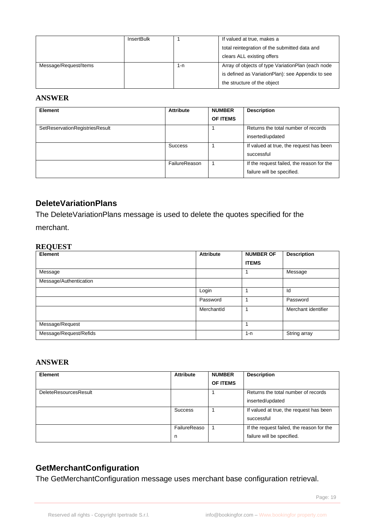|                       | InsertBulk |     | If valued at true, makes a                        |
|-----------------------|------------|-----|---------------------------------------------------|
|                       |            |     | total reintegration of the submitted data and     |
|                       |            |     | clears ALL existing offers                        |
| Message/Request/Items |            | 1-n | Array of objects of type VariationPlan (each node |
|                       |            |     | is defined as VariationPlan): see Appendix to see |
|                       |            |     | the structure of the object                       |

#### **ANSWER**

| <b>Element</b>                 | <b>Attribute</b> | <b>NUMBER</b><br><b>OF ITEMS</b> | <b>Description</b>                                                      |
|--------------------------------|------------------|----------------------------------|-------------------------------------------------------------------------|
| SetReservationRegistriesResult |                  |                                  | Returns the total number of records<br>inserted/updated                 |
|                                | Success          |                                  | If valued at true, the request has been<br>successful                   |
|                                | FailureReason    |                                  | If the request failed, the reason for the<br>failure will be specified. |

# <span id="page-18-0"></span>**DeleteVariationPlans**

The DeleteVariationPlans message is used to delete the quotes specified for the merchant.

#### **REQUEST**

| ∼<br>Element           | <b>Attribute</b> | <b>NUMBER OF</b> | <b>Description</b>  |
|------------------------|------------------|------------------|---------------------|
|                        |                  | <b>ITEMS</b>     |                     |
| Message                |                  |                  | Message             |
| Message/Authentication |                  |                  |                     |
|                        | Login            |                  | Id                  |
|                        | Password         |                  | Password            |
|                        | MerchantId       |                  | Merchant identifier |
| Message/Request        |                  |                  |                     |
| Message/Request/Refids |                  | $1 - n$          | String array        |

#### **ANSWER**

| <b>Element</b>               | <b>Attribute</b> | <b>NUMBER</b>   | <b>Description</b>                        |
|------------------------------|------------------|-----------------|-------------------------------------------|
|                              |                  | <b>OF ITEMS</b> |                                           |
| <b>DeleteResourcesResult</b> |                  |                 | Returns the total number of records       |
|                              |                  |                 | inserted/updated                          |
|                              | <b>Success</b>   |                 | If valued at true, the request has been   |
|                              |                  |                 | successful                                |
|                              | FailureReaso     |                 | If the request failed, the reason for the |
|                              | n                |                 | failure will be specified.                |

# <span id="page-18-1"></span>**GetMerchantConfiguration**

The GetMerchantConfiguration message uses merchant base configuration retrieval.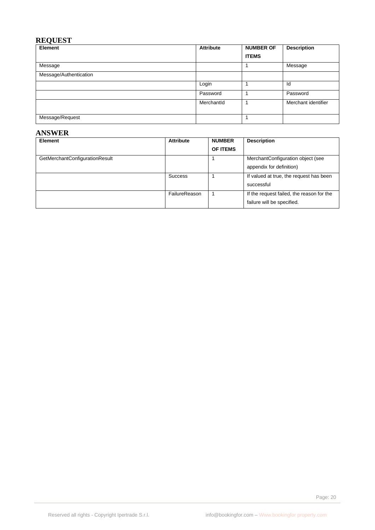## **REQUEST**

| Element                | <b>Attribute</b> | <b>NUMBER OF</b> | <b>Description</b>  |
|------------------------|------------------|------------------|---------------------|
|                        |                  | <b>ITEMS</b>     |                     |
| Message                |                  |                  | Message             |
| Message/Authentication |                  |                  |                     |
|                        | Login            |                  | Id                  |
|                        | Password         |                  | Password            |
|                        | MerchantId       |                  | Merchant identifier |
| Message/Request        |                  |                  |                     |

#### **ANSWER**

| <b>Element</b>                 | <b>Attribute</b> | <b>NUMBER</b> | <b>Description</b>                        |
|--------------------------------|------------------|---------------|-------------------------------------------|
|                                |                  | OF ITEMS      |                                           |
| GetMerchantConfigurationResult |                  |               | MerchantConfiguration object (see         |
|                                |                  |               | appendix for definition)                  |
|                                | <b>Success</b>   |               | If valued at true, the request has been   |
|                                |                  |               | successful                                |
|                                | FailureReason    |               | If the request failed, the reason for the |
|                                |                  |               | failure will be specified.                |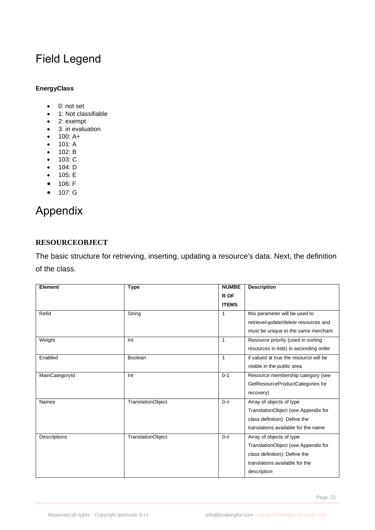# <span id="page-20-0"></span>Field Legend

#### **EnergyClass**

- 0: not set
- 1: Not classifiable
- 2: exempt
- 3: in evaluation
- 100: A+
- 101: A
- 102: B
- 103: C
- 104: D
- 105: E • 106: F
- 
- 107: G

# <span id="page-20-1"></span>Appendix

#### **RESOURCEOBJECT**

The basic structure for retrieving, inserting, updating a resource's data. Next, the definition of the class.

| <b>Element</b> | <b>Type</b>              | <b>NUMBE</b> | <b>Description</b>                     |
|----------------|--------------------------|--------------|----------------------------------------|
|                |                          | R OF         |                                        |
|                |                          | <b>ITEMS</b> |                                        |
| Refid          | String                   | 1            | this parameter will be used to         |
|                |                          |              | retrieve/update/delete resources and   |
|                |                          |              | must be unique to the same merchant    |
| Weight         | Int                      | 1            | Resource priority (used in sorting     |
|                |                          |              | resources in lists) in ascending order |
| Enabled        | Boolean                  | 1            | if valued at true the resource will be |
|                |                          |              | visible in the public area             |
| MainCategoryId | Int                      | $0 - 1$      | Resource membership category (see      |
|                |                          |              | GetResourceProductCategories for       |
|                |                          |              | recovery)                              |
| <b>Names</b>   | <b>TranslationObject</b> | $0 - n$      | Array of objects of type               |
|                |                          |              | TranslationObject (see Appendix for    |
|                |                          |              | class definition): Define the          |
|                |                          |              | translations available for the name    |
| Descriptions   | <b>TranslationObject</b> | $0 - n$      | Array of objects of type               |
|                |                          |              | TranslationObject (see Appendix for    |
|                |                          |              | class definition): Define the          |
|                |                          |              | translations available for the         |
|                |                          |              | description                            |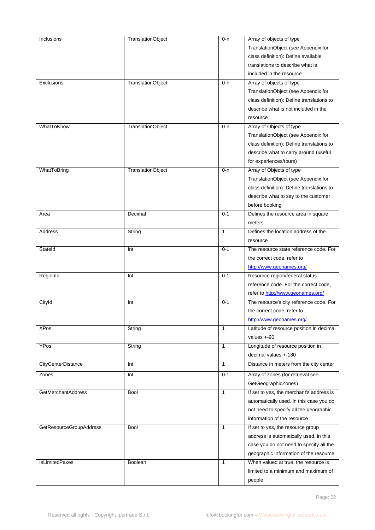| Inclusions              | <b>TranslationObject</b> | $0 - n$      | Array of objects of type                  |
|-------------------------|--------------------------|--------------|-------------------------------------------|
|                         |                          |              | TranslationObject (see Appendix for       |
|                         |                          |              | class definition): Define available       |
|                         |                          |              | translations to describe what is          |
|                         |                          |              | included in the resource                  |
| Exclusions              | TranslationObject        | $0 - n$      | Array of objects of type                  |
|                         |                          |              | TranslationObject (see Appendix for       |
|                         |                          |              | class definition): Define translations to |
|                         |                          |              | describe what is not included in the      |
|                         |                          |              | resource                                  |
| WhatToKnow              | TranslationObject        | $0 - n$      | Array of Objects of type                  |
|                         |                          |              | TranslationObject (see Appendix for       |
|                         |                          |              | class definition): Define translations to |
|                         |                          |              | describe what to carry around (useful     |
|                         |                          |              | for experiences/tours)                    |
| WhatToBring             | TranslationObject        | $0 - n$      | Array of Objects of type                  |
|                         |                          |              | TranslationObject (see Appendix for       |
|                         |                          |              |                                           |
|                         |                          |              | class definition): Define translations to |
|                         |                          |              | describe what to say to the customer      |
|                         |                          |              | before booking                            |
| Area                    | Decimal                  | $0 - 1$      | Defines the resource area in square       |
|                         |                          |              | meters                                    |
| Address                 | String                   | $\mathbf{1}$ | Defines the location address of the       |
|                         |                          |              | resource                                  |
| Stateld                 | Int                      | $0 - 1$      | The resource state reference code. For    |
|                         |                          |              | the correct code, refer to                |
|                         |                          |              | http://www.geonames.org/                  |
| RegionId                | Int                      | $0 - 1$      | Resource region/federal status            |
|                         |                          |              | reference code. For the correct code,     |
|                         |                          |              | refer to http://www.geonames.org/         |
| Cityld                  | Int                      | $0 - 1$      | The resource's city reference code. For   |
|                         |                          |              | the correct code, refer to                |
|                         |                          |              | http://www.geonames.org/                  |
| <b>XPos</b>             | String                   | $\mathbf{1}$ | Latitude of resource position in decimal  |
|                         |                          |              | values $+90$                              |
| YPos                    | String                   | $\mathbf{1}$ | Longitude of resource position in         |
|                         |                          |              | decimal values +-180                      |
| CityCenterDistance      | Int                      | $\mathbf{1}$ | Distance in meters from the city center   |
| Zones                   | Int                      | $0 - 1$      | Array of zones (for retrieval see         |
|                         |                          |              | GetGeographicZones)                       |
| GetMerchantAddress      |                          | $\mathbf{1}$ |                                           |
|                         | <b>Bool</b>              |              | If set to yes, the merchant's address is  |
|                         |                          |              | automatically used. in this case you do   |
|                         |                          |              | not need to specify all the geographic    |
|                         |                          |              | information of the resource               |
| GetResourceGroupAddress | <b>Bool</b>              | 1            | If set to yes, the resource group         |
|                         |                          |              | address is automatically used. in this    |
|                         |                          |              | case you do not need to specify all the   |
|                         |                          |              | geographic information of the resource    |
| IsLimitedPaxes          | Boolean                  | $\mathbf{1}$ | When valued at true, the resource is      |
|                         |                          |              | limited to a minimum and maximum of       |
|                         |                          |              | people.                                   |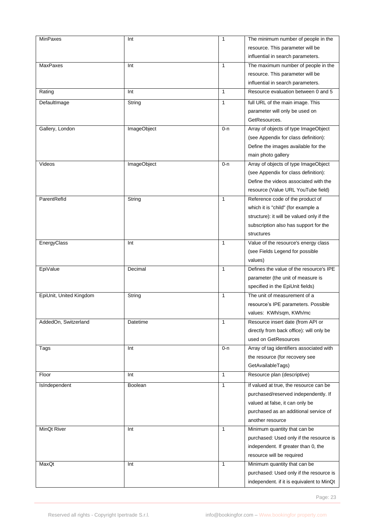| <b>MinPaxes</b>         | Int            | $\mathbf{1}$ | The minimum number of people in the       |
|-------------------------|----------------|--------------|-------------------------------------------|
|                         |                |              | resource. This parameter will be          |
|                         |                |              | influential in search parameters.         |
| <b>MaxPaxes</b>         | Int            | 1            | The maximum number of people in the       |
|                         |                |              | resource. This parameter will be          |
|                         |                |              |                                           |
|                         |                |              | influential in search parameters.         |
| Rating                  | Int            | $\mathbf{1}$ | Resource evaluation between 0 and 5       |
| DefaultImage            | String         | $\mathbf{1}$ | full URL of the main image. This          |
|                         |                |              | parameter will only be used on            |
|                         |                |              | GetResources.                             |
| Gallery, London         | ImageObject    | 0-n          | Array of objects of type ImageObject      |
|                         |                |              | (see Appendix for class definition):      |
|                         |                |              | Define the images available for the       |
|                         |                |              | main photo gallery                        |
| Videos                  | ImageObject    | 0-n          | Array of objects of type ImageObject      |
|                         |                |              | (see Appendix for class definition):      |
|                         |                |              | Define the videos associated with the     |
|                         |                |              |                                           |
|                         |                |              | resource (Value URL YouTube field)        |
| ParentRefld             | String         | 1            | Reference code of the product of          |
|                         |                |              | which it is "child" (for example a        |
|                         |                |              | structure): it will be valued only if the |
|                         |                |              | subscription also has support for the     |
|                         |                |              | structures                                |
| EnergyClass             | Int            | 1            | Value of the resource's energy class      |
|                         |                |              | (see Fields Legend for possible           |
|                         |                |              | values)                                   |
| EpiValue                | Decimal        | 1            | Defines the value of the resource's IPE   |
|                         |                |              | parameter (the unit of measure is         |
|                         |                |              | specified in the EpiUnit fields)          |
| EpiUnit, United Kingdom | String         | 1            | The unit of measurement of a              |
|                         |                |              | resource's IPE parameters. Possible       |
|                         |                |              |                                           |
|                         |                |              | values: KWh/sqm, KWh/mc                   |
| AddedOn, Switzerland    | Datetime       | $\mathbf{1}$ | Resource insert date (from API or         |
|                         |                |              | directly from back office): will only be  |
|                         |                |              | used on GetResources                      |
| Tags                    | Int            | 0-n          | Array of tag identifiers associated with  |
|                         |                |              | the resource (for recovery see            |
|                         |                |              | GetAvailableTags)                         |
| Floor                   | Int            | $\mathbf{1}$ | Resource plan (descriptive)               |
| IsIndependent           | <b>Boolean</b> | $\mathbf{1}$ | If valued at true, the resource can be    |
|                         |                |              | purchased/reserved independently. If      |
|                         |                |              | valued at false, it can only be           |
|                         |                |              | purchased as an additional service of     |
|                         |                |              | another resource                          |
| MinQt River             | Int            | 1            | Minimum quantity that can be              |
|                         |                |              |                                           |
|                         |                |              | purchased: Used only if the resource is   |
|                         |                |              | independent. If greater than 0, the       |
|                         |                |              | resource will be required                 |
| MaxQt                   | Int            | 1            | Minimum quantity that can be              |
|                         |                |              | purchased: Used only if the resource is   |
|                         |                |              | independent. if it is equivalent to MinQt |

Page: 23 April 2014 - 23 April 2014 - 23 April 2014 - 23 April 2014 - 23 April 2014 - 23 April 2014 - 23 April 2014 - 23 April 2014 - 23 April 2014 - 23 April 2014 - 23 April 2014 - 23 April 2014 - 23 April 2014 - 23 April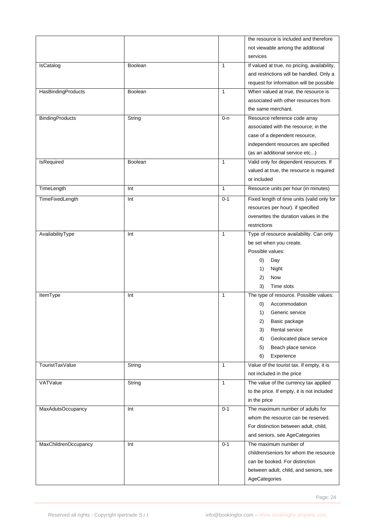|                           |                |              | the resource is included and therefore       |
|---------------------------|----------------|--------------|----------------------------------------------|
|                           |                |              | not viewable among the additional            |
|                           |                |              | services                                     |
| IsCatalog                 | Boolean        | $\mathbf{1}$ | If valued at true, no pricing, availability, |
|                           |                |              | and restrictions will be handled. Only a     |
|                           |                |              |                                              |
|                           |                |              | request for information will be possible     |
| <b>HasBindingProducts</b> | Boolean        | 1            | When valued at true, the resource is         |
|                           |                |              | associated with other resources from         |
|                           |                |              | the same merchant.                           |
| <b>BindingProducts</b>    | String         | $0 - n$      | Resource reference code array                |
|                           |                |              | associated with the resource; in the         |
|                           |                |              | case of a dependent resource,                |
|                           |                |              | independent resources are specified          |
|                           |                |              | (as an additional service etc)               |
| IsRequired                | <b>Boolean</b> | 1            | Valid only for dependent resources. If       |
|                           |                |              | valued at true, the resource is required     |
|                           |                |              |                                              |
|                           |                |              | or included                                  |
| TimeLength                | Int            | $\mathbf{1}$ | Resource units per hour (in minutes)         |
| TimeFixedLength           | Int            | $0 - 1$      | Fixed length of time units (valid only for   |
|                           |                |              | resources per hour). if specified            |
|                           |                |              | overwrites the duration values in the        |
|                           |                |              | restrictions                                 |
| AvailabilityType          | Int            | $\mathbf{1}$ | Type of resource availability. Can only      |
|                           |                |              | be set when you create.                      |
|                           |                |              |                                              |
|                           |                |              | Possible values:                             |
|                           |                |              | $\left( 0\right)$<br>Day                     |
|                           |                |              | Night<br>1)                                  |
|                           |                |              | 2)<br>Now                                    |
|                           |                |              | Time slots<br>3)                             |
| ItemType                  | Int            | 1            | The type of resource. Possible values:       |
|                           |                |              | Accommodation<br>O)                          |
|                           |                |              | Generic service<br>1)                        |
|                           |                |              | Basic package<br>2)                          |
|                           |                |              | Rental service<br>3)                         |
|                           |                |              |                                              |
|                           |                |              | Geolocated place service<br>4)               |
|                           |                |              | Beach place service<br>5)                    |
|                           |                |              | Experience<br>6)                             |
| TouristTaxValue           | String         | $\mathbf{1}$ | Value of the tourist tax. If empty, it is    |
|                           |                |              | not included in the price                    |
| VATValue                  | String         | $\mathbf{1}$ | The value of the currency tax applied        |
|                           |                |              | to the price. If empty, it is not included   |
|                           |                |              | in the price                                 |
| MaxAdutsOccupancy         | Int            | $0 - 1$      | The maximum number of adults for             |
|                           |                |              | whom the resource can be reserved.           |
|                           |                |              | For distinction between adult, child,        |
|                           |                |              |                                              |
|                           |                |              | and seniors, see AgeCategories               |
| MaxChildrenOccupancy      | Int            | $0 - 1$      | The maximum number of                        |
|                           |                |              | children/seniors for whom the resource       |
|                           |                |              | can be booked. For distinction               |
|                           |                |              | between adult, child, and seniors, see       |
|                           |                |              | AgeCategories                                |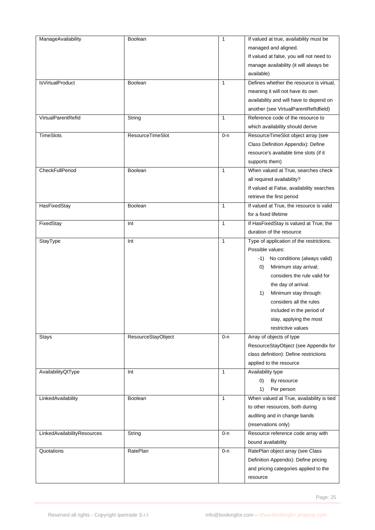| ManageAvailability          | Boolean                   | $\mathbf{1}$ | If valued at true, availability must be    |
|-----------------------------|---------------------------|--------------|--------------------------------------------|
|                             |                           |              | managed and aligned.                       |
|                             |                           |              | If valued at false, you will not need to   |
|                             |                           |              | manage availability (it will always be     |
|                             |                           |              | available)                                 |
| IsVirtualProduct            | <b>Boolean</b>            | 1            | Defines whether the resource is virtual,   |
|                             |                           |              |                                            |
|                             |                           |              | meaning it will not have its own           |
|                             |                           |              | availability and will have to depend on    |
|                             |                           |              | another (see VirtualParentRefIdfield)      |
| VirtualParentRefld          | String                    | $\mathbf{1}$ | Reference code of the resource to          |
|                             |                           |              | which availability should derive           |
| TimeSlots                   | ResourceTimeSlot          | 0-n          | ResourceTimeSlot object array (see         |
|                             |                           |              | Class Definition Appendix): Define         |
|                             |                           |              | resource's available time slots (if it     |
|                             |                           |              | supports them)                             |
| CheckFullPeriod             | Boolean                   | $\mathbf{1}$ | When valued at True, searches check        |
|                             |                           |              |                                            |
|                             |                           |              | all required availability?                 |
|                             |                           |              | If valued at False, availability searches  |
|                             |                           |              | retrieve the first period                  |
| HasFixedStay                | Boolean                   | $\mathbf{1}$ | If valued at True, the resource is valid   |
|                             |                           |              | for a fixed lifetime                       |
| FixedStay                   | Int                       | $\mathbf{1}$ | If HasFixedStay is valued at True, the     |
|                             |                           |              | duration of the resource                   |
| StayType                    | Int                       | 1            | Type of application of the restrictions.   |
|                             |                           |              | Possible values:                           |
|                             |                           |              |                                            |
|                             |                           |              | No conditions (always valid)<br>-1)        |
|                             |                           |              | Minimum stay arrival;<br>$\left( 0\right)$ |
|                             |                           |              | considers the rule valid for               |
|                             |                           |              | the day of arrival.                        |
|                             |                           |              | Minimum stay through:<br>1)                |
|                             |                           |              | considers all the rules                    |
|                             |                           |              | included in the period of                  |
|                             |                           |              | stay, applying the most                    |
|                             |                           |              | restrictive values                         |
| <b>Stays</b>                | <b>ResourceStayObject</b> | $0 - n$      | Array of objects of type                   |
|                             |                           |              | ResourceStayObject (see Appendix for       |
|                             |                           |              |                                            |
|                             |                           |              | class definition): Define restrictions     |
|                             |                           |              | applied to the resource                    |
| AvailabilityQtType          | Int                       | $\mathbf{1}$ | Availability type                          |
|                             |                           |              | (0)<br>By resource                         |
|                             |                           |              | 1)<br>Per person                           |
| LinkedAvailability          | Boolean                   | 1            | When valued at True, availability is tied  |
|                             |                           |              | to other resources, both during            |
|                             |                           |              | auditing and in change bands               |
|                             |                           |              | (reservations only)                        |
| LinkedAvailabilityResources | String                    | 0-n          | Resource reference code array with         |
|                             |                           |              |                                            |
|                             |                           |              | bound availability                         |
| Quotations                  | RatePlan                  | 0-n          | RatePlan object array (see Class           |
|                             |                           |              | Definition Appendix): Define pricing       |
|                             |                           |              | and pricing categories applied to the      |
|                             |                           |              | resource                                   |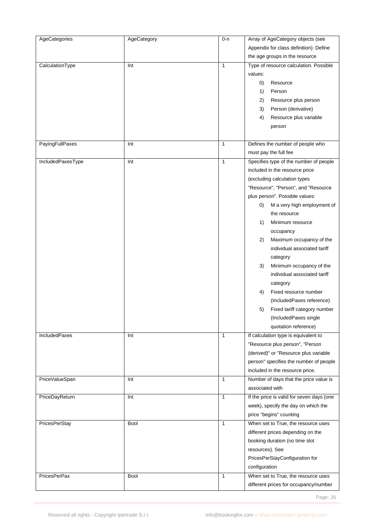| AgeCategories       | AgeCategory | $0 - n$      | Array of AgeCategory objects (see         |
|---------------------|-------------|--------------|-------------------------------------------|
|                     |             |              | Appendix for class definition): Define    |
|                     |             |              | the age groups in the resource            |
| CalculationType     | Int         | 1            | Type of resource calculation. Possible    |
|                     |             |              | values:                                   |
|                     |             |              | (0)<br>Resource                           |
|                     |             |              |                                           |
|                     |             |              | 1)<br>Person                              |
|                     |             |              | Resource plus person<br>2)                |
|                     |             |              | Person (derivative)<br>3)                 |
|                     |             |              | 4)<br>Resource plus variable              |
|                     |             |              | person                                    |
| PayingFullPaxes     | Int         | 1            | Defines the number of people who          |
|                     |             |              | must pay the full fee                     |
| IncludedPaxesType   | Int         | 1            | Specifies type of the number of people    |
|                     |             |              | included in the resource price            |
|                     |             |              |                                           |
|                     |             |              | (excluding calculation types              |
|                     |             |              | "Resource", "Person", and "Resource       |
|                     |             |              | plus person". Possible values:            |
|                     |             |              | M a very high employment of<br>O)         |
|                     |             |              | the resource                              |
|                     |             |              | 1)<br>Minimum resource                    |
|                     |             |              | occupancy                                 |
|                     |             |              | Maximum occupancy of the<br>2)            |
|                     |             |              | individual associated tariff              |
|                     |             |              | category                                  |
|                     |             |              | Minimum occupancy of the<br>3)            |
|                     |             |              | individual associated tariff              |
|                     |             |              |                                           |
|                     |             |              | category                                  |
|                     |             |              | Fixed resource number<br>4)               |
|                     |             |              | (IncludedPaxes reference)                 |
|                     |             |              | Fixed tariff category number<br>5)        |
|                     |             |              | (IncludedPaxes single                     |
|                     |             |              | quotation reference)                      |
| IncludedPaxes       | Int         | $\mathbf{1}$ | If calculation type is equivalent to      |
|                     |             |              | "Resource plus person", "Person           |
|                     |             |              | (derived)" or "Resource plus variable     |
|                     |             |              | person" specifies the number of people    |
|                     |             |              | included in the resource price.           |
|                     |             |              | Number of days that the price value is    |
| PriceValueSpan      | Int         | 1            | associated with                           |
| PriceDayReturn      | Int         | $\mathbf{1}$ | If the price is valid for seven days (one |
|                     |             |              | week), specify the day on which the       |
|                     |             |              |                                           |
|                     |             |              | price "begins" counting                   |
| PricesPerStay       | <b>Bool</b> | $\mathbf{1}$ | When set to True, the resource uses       |
|                     |             |              | different prices depending on the         |
|                     |             |              | booking duration (no time slot            |
|                     |             |              | resources). See                           |
|                     |             |              | PricesPerStayConfiguration for            |
|                     |             |              | configuration                             |
| <b>PricesPerPax</b> | <b>Bool</b> | 1            | When set to True, the resource uses       |
|                     |             |              | different prices for occupancy/number     |

Page: 26 and 26 and 26 and 26 and 26 and 26 and 26 and 26 and 26 and 26 and 26 and 26 and 26 and 26 and 26 and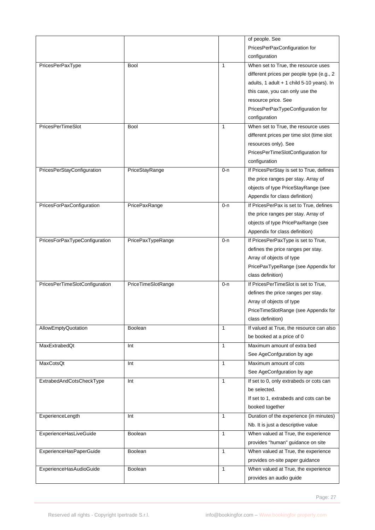|                                |                    |              | of people. See                            |
|--------------------------------|--------------------|--------------|-------------------------------------------|
|                                |                    |              | PricesPerPaxConfiguration for             |
|                                |                    |              | configuration                             |
| PricesPerPaxType               | <b>Bool</b>        | $\mathbf{1}$ | When set to True, the resource uses       |
|                                |                    |              | different prices per people type (e.g., 2 |
|                                |                    |              | adults, 1 adult + 1 child 5-10 years). In |
|                                |                    |              | this case, you can only use the           |
|                                |                    |              | resource price. See                       |
|                                |                    |              | PricesPerPaxTypeConfiguration for         |
|                                |                    |              | configuration                             |
| PricesPerTimeSlot              | <b>Bool</b>        | 1            | When set to True, the resource uses       |
|                                |                    |              |                                           |
|                                |                    |              | different prices per time slot (time slot |
|                                |                    |              | resources only). See                      |
|                                |                    |              | PricesPerTimeSlotConfiguration for        |
|                                |                    |              | configuration                             |
| PricesPerStayConfiguration     | PriceStayRange     | 0-n          | If PricesPerStay is set to True, defines  |
|                                |                    |              | the price ranges per stay. Array of       |
|                                |                    |              | objects of type PriceStayRange (see       |
|                                |                    |              | Appendix for class definition)            |
| PricesForPaxConfiguration      | PricePaxRange      | 0-n          | If PricesPerPax is set to True, defines   |
|                                |                    |              | the price ranges per stay. Array of       |
|                                |                    |              | objects of type PricePaxRange (see        |
|                                |                    |              | Appendix for class definition)            |
| PricesForPaxTypeConfiguration  | PricePaxTypeRange  | $0 - n$      | If PricesPerPaxType is set to True,       |
|                                |                    |              | defines the price ranges per stay.        |
|                                |                    |              | Array of objects of type                  |
|                                |                    |              | PricePaxTypeRange (see Appendix for       |
|                                |                    |              | class definition)                         |
| PricesPerTimeSlotConfiguration | PriceTimeSlotRange | 0-n          | If PricesPerTimeSlot is set to True,      |
|                                |                    |              | defines the price ranges per stay.        |
|                                |                    |              | Array of objects of type                  |
|                                |                    |              | PriceTimeSlotRange (see Appendix for      |
|                                |                    |              | class definition)                         |
|                                |                    | 1            |                                           |
| AllowEmptyQuotation            | <b>Boolean</b>     |              | If valued at True, the resource can also  |
|                                |                    |              | be booked at a price of 0                 |
| MaxExtrabedQt                  | Int                | $\mathbf{1}$ | Maximum amount of extra bed               |
|                                |                    |              | See AgeConfguration by age                |
| MaxCotsQt                      | Int                | $\mathbf{1}$ | Maximum amount of cots                    |
|                                |                    |              | See AgeConfguration by age                |
| ExtrabedAndCotsCheckType       | Int                | $\mathbf{1}$ | If set to 0, only extrabeds or cots can   |
|                                |                    |              | be selected.                              |
|                                |                    |              | If set to 1, extrabeds and cots can be    |
|                                |                    |              | booked together                           |
| ExperienceLength               | Int                | $\mathbf{1}$ | Duration of the experience (in minutes)   |
|                                |                    |              | Nb. It is just a descriptive value        |
| ExperienceHasLiveGuide         | <b>Boolean</b>     | $\mathbf{1}$ | When valued at True, the experience       |
|                                |                    |              | provides "human" guidance on site         |
| ExperienceHasPaperGuide        | <b>Boolean</b>     | 1            | When valued at True, the experience       |
|                                |                    |              | provides on-site paper guidance           |
| ExperienceHasAudioGuide        | Boolean            | $\mathbf{1}$ | When valued at True, the experience       |
|                                |                    |              | provides an audio guide                   |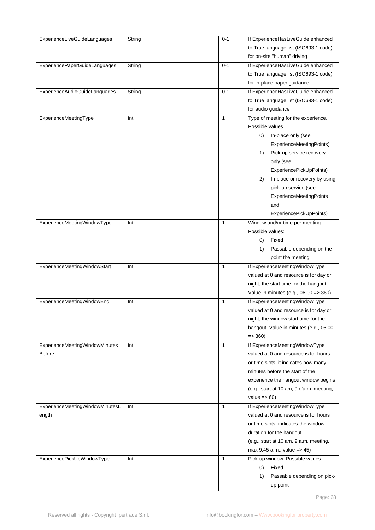| ExperienceLiveGuideLanguages    | String | $0 - 1$      | If ExperienceHasLiveGuide enhanced       |
|---------------------------------|--------|--------------|------------------------------------------|
|                                 |        |              | to True language list (ISO693-1 code)    |
|                                 |        |              | for on-site "human" driving              |
| ExperiencePaperGuideLanguages   | String | $0 - 1$      | If ExperienceHasLiveGuide enhanced       |
|                                 |        |              | to True language list (ISO693-1 code)    |
|                                 |        |              | for in-place paper guidance              |
| ExperienceAudioGuideLanguages   | String | $0 - 1$      | If ExperienceHasLiveGuide enhanced       |
|                                 |        |              |                                          |
|                                 |        |              | to True language list (ISO693-1 code)    |
|                                 |        |              | for audio guidance                       |
| ExperienceMeetingType           | Int    | 1            | Type of meeting for the experience.      |
|                                 |        |              | Possible values                          |
|                                 |        |              | In-place only (see<br>0)                 |
|                                 |        |              | ExperienceMeetingPoints)                 |
|                                 |        |              | Pick-up service recovery<br>1)           |
|                                 |        |              | only (see                                |
|                                 |        |              | ExperiencePickUpPoints)                  |
|                                 |        |              | In-place or recovery by using<br>2)      |
|                                 |        |              | pick-up service (see                     |
|                                 |        |              | <b>ExperienceMeetingPoints</b>           |
|                                 |        |              | and                                      |
|                                 |        |              | ExperiencePickUpPoints)                  |
| ExperienceMeetingWindowType     | Int    | 1            | Window and/or time per meeting.          |
|                                 |        |              | Possible values:                         |
|                                 |        |              | Fixed<br>0)                              |
|                                 |        |              | Passable depending on the<br>1)          |
|                                 |        |              | point the meeting                        |
| ExperienceMeetingWindowStart    | Int    | 1            | If ExperienceMeetingWindowType           |
|                                 |        |              | valued at 0 and resource is for day or   |
|                                 |        |              | night, the start time for the hangout.   |
|                                 |        |              |                                          |
|                                 |        |              | Value in minutes (e.g., 06:00 => 360)    |
| ExperienceMeetingWindowEnd      | Int    | 1            | If ExperienceMeetingWindowType           |
|                                 |        |              | valued at 0 and resource is for day or   |
|                                 |        |              | night, the window start time for the     |
|                                 |        |              | hangout. Value in minutes (e.g., 06:00   |
|                                 |        |              | $\Rightarrow$ 360)                       |
| ExperienceMeetingWindowMinutes  | Int    | $\mathbf{1}$ | If ExperienceMeetingWindowType           |
| Before                          |        |              | valued at 0 and resource is for hours    |
|                                 |        |              | or time slots, it indicates how many     |
|                                 |        |              | minutes before the start of the          |
|                                 |        |              | experience the hangout window begins     |
|                                 |        |              | (e.g., start at 10 am, 9 o'a.m. meeting, |
|                                 |        |              | value $\Rightarrow$ 60)                  |
| ExperienceMeetingWindowMinutesL | Int    | $\mathbf{1}$ | If ExperienceMeetingWindowType           |
| ength                           |        |              | valued at 0 and resource is for hours    |
|                                 |        |              | or time slots, indicates the window      |
|                                 |        |              | duration for the hangout                 |
|                                 |        |              | (e.g., start at 10 am, 9 a.m. meeting,   |
|                                 |        |              | max 9:45 a.m., value => 45)              |
| ExperiencePickUpWindowType      | Int    | $\mathbf{1}$ | Pick-up window. Possible values:         |
|                                 |        |              | Fixed<br>0)                              |
|                                 |        |              | 1)                                       |
|                                 |        |              | Passable depending on pick-              |
|                                 |        |              | up point                                 |

Page: 28 and 20 and 20 and 20 and 20 and 20 and 20 and 20 and 20 and 20 and 20 and 20 and 20 and 20 and 20 and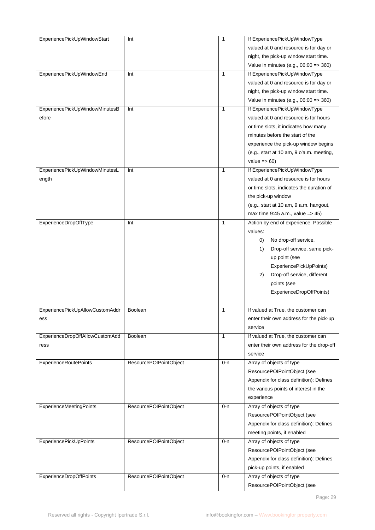| ExperiencePickUpWindowStart     | Int                    | $\mathbf{1}$ | If ExperiencePickUpWindowType            |
|---------------------------------|------------------------|--------------|------------------------------------------|
|                                 |                        |              | valued at 0 and resource is for day or   |
|                                 |                        |              | night, the pick-up window start time.    |
|                                 |                        |              | Value in minutes (e.g., 06:00 => 360)    |
| ExperiencePickUpWindowEnd       | Int                    | 1            | If ExperiencePickUpWindowType            |
|                                 |                        |              | valued at 0 and resource is for day or   |
|                                 |                        |              | night, the pick-up window start time.    |
|                                 |                        |              |                                          |
|                                 |                        |              | Value in minutes (e.g., 06:00 = > 360)   |
| ExperiencePickUpWindowMinutesB  | Int                    | $\mathbf{1}$ | If ExperiencePickUpWindowType            |
| efore                           |                        |              | valued at 0 and resource is for hours    |
|                                 |                        |              | or time slots, it indicates how many     |
|                                 |                        |              | minutes before the start of the          |
|                                 |                        |              | experience the pick-up window begins     |
|                                 |                        |              | (e.g., start at 10 am, 9 o'a.m. meeting, |
|                                 |                        |              | value $\Rightarrow$ 60)                  |
| ExperiencePickUpWindowMinutesL  | Int                    | $\mathbf{1}$ | If ExperiencePickUpWindowType            |
| ength                           |                        |              | valued at 0 and resource is for hours    |
|                                 |                        |              | or time slots, indicates the duration of |
|                                 |                        |              | the pick-up window                       |
|                                 |                        |              |                                          |
|                                 |                        |              | (e.g., start at 10 am, 9 a.m. hangout,   |
|                                 |                        |              | max time $9:45$ a.m., value = $> 45$ )   |
| ExperienceDropOffType           | Int                    | $\mathbf{1}$ | Action by end of experience. Possible    |
|                                 |                        |              | values:                                  |
|                                 |                        |              | No drop-off service.<br>0)               |
|                                 |                        |              | Drop-off service, same pick-<br>1)       |
|                                 |                        |              | up point (see                            |
|                                 |                        |              | ExperiencePickUpPoints)                  |
|                                 |                        |              | Drop-off service, different<br>2)        |
|                                 |                        |              | points (see                              |
|                                 |                        |              | ExperienceDropOffPoints)                 |
|                                 |                        |              |                                          |
| ExperiencePickUpAllowCustomAddr | <b>Boolean</b>         | 1            | If valued at True, the customer can      |
| ess                             |                        |              | enter their own address for the pick-up  |
|                                 |                        |              | service                                  |
|                                 |                        |              |                                          |
| ExperienceDropOffAllowCustomAdd | Boolean                | 1            | If valued at True, the customer can      |
| ress                            |                        |              | enter their own address for the drop-off |
|                                 |                        |              | service                                  |
| <b>ExperienceRoutePoints</b>    | ResourcePOIPointObject | $0 - n$      | Array of objects of type                 |
|                                 |                        |              | ResourcePOIPointObject (see              |
|                                 |                        |              | Appendix for class definition): Defines  |
|                                 |                        |              | the various points of interest in the    |
|                                 |                        |              | experience                               |
| ExperienceMeetingPoints         | ResourcePOIPointObject | 0-n          | Array of objects of type                 |
|                                 |                        |              | ResourcePOIPointObject (see              |
|                                 |                        |              | Appendix for class definition): Defines  |
|                                 |                        |              |                                          |
|                                 |                        |              | meeting points, if enabled               |
| <b>ExperiencePickUpPoints</b>   | ResourcePOIPointObject | $0 - n$      | Array of objects of type                 |
|                                 |                        |              | ResourcePOIPointObject (see              |
|                                 |                        |              | Appendix for class definition): Defines  |
|                                 |                        |              | pick-up points, if enabled               |
| <b>ExperienceDropOffPoints</b>  | ResourcePOIPointObject | $0 - n$      | Array of objects of type                 |
|                                 |                        |              | ResourcePOIPointObject (see              |

Page: 29 and 2012 and 2012 and 2012 and 2012 and 2012 and 2012 and 2012 and 2012 and 2012 and 2012 and 2012 and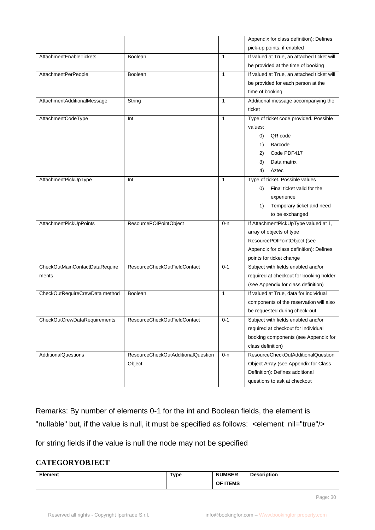|                                |                                    |              | Appendix for class definition): Defines         |
|--------------------------------|------------------------------------|--------------|-------------------------------------------------|
|                                |                                    |              | pick-up points, if enabled                      |
| AttachmentEnableTickets        | <b>Boolean</b>                     | $\mathbf{1}$ | If valued at True, an attached ticket will      |
|                                |                                    |              | be provided at the time of booking              |
| AttachmentPerPeople            | <b>Boolean</b>                     | $\mathbf{1}$ | If valued at True, an attached ticket will      |
|                                |                                    |              | be provided for each person at the              |
|                                |                                    |              | time of booking                                 |
| AttachmentAdditionalMessage    | String                             | $\mathbf{1}$ | Additional message accompanying the             |
|                                |                                    |              | ticket                                          |
| AttachmentCodeType             | Int                                | 1            | Type of ticket code provided. Possible          |
|                                |                                    |              | values:                                         |
|                                |                                    |              | QR code<br>O)                                   |
|                                |                                    |              | Barcode<br>1)                                   |
|                                |                                    |              | Code PDF417<br>2)                               |
|                                |                                    |              | Data matrix<br>3)                               |
|                                |                                    |              | 4)<br>Aztec                                     |
| AttachmentPickUpType           | Int                                | 1            | Type of ticket. Possible values                 |
|                                |                                    |              | Final ticket valid for the<br>$\left( 0\right)$ |
|                                |                                    |              | experience                                      |
|                                |                                    |              | Temporary ticket and need<br>1)                 |
|                                |                                    |              | to be exchanged                                 |
| AttachmentPickUpPoints         | ResourcePOIPointObject             | 0-n          | If AttachmentPickUpType valued at 1,            |
|                                |                                    |              | array of objects of type                        |
|                                |                                    |              | ResourcePOIPointObject (see                     |
|                                |                                    |              | Appendix for class definition): Defines         |
|                                |                                    |              | points for ticket change                        |
| CheckOutMainContactDataRequire | ResourceCheckOutFieldContact       | $0 - 1$      | Subject with fields enabled and/or              |
| ments                          |                                    |              | required at checkout for booking holder         |
|                                |                                    |              | (see Appendix for class definition)             |
| CheckOutRequireCrewData method | <b>Boolean</b>                     | $\mathbf{1}$ | If valued at True, data for individual          |
|                                |                                    |              | components of the reservation will also         |
|                                |                                    |              | be requested during check-out                   |
| CheckOutCrewDataRequirements   | ResourceCheckOutFieldContact       | $0 - 1$      | Subject with fields enabled and/or              |
|                                |                                    |              | required at checkout for individual             |
|                                |                                    |              | booking components (see Appendix for            |
|                                |                                    |              | class definition)                               |
| <b>AdditionalQuestions</b>     | ResourceCheckOutAdditionalQuestion | $0 - n$      | ResourceCheckOutAdditionalQuestion              |
|                                | Object                             |              | Object Array (see Appendix for Class            |
|                                |                                    |              | Definition): Defines additional                 |
|                                |                                    |              | questions to ask at checkout                    |

Remarks: By number of elements 0-1 for the int and Boolean fields, the element is "nullable" but, if the value is null, it must be specified as follows: < element nil="true"/>

for string fields if the value is null the node may not be specified

## **CATEGORYOBJECT**

| <b>Element</b> | <b>Type</b> | <b>NUMBER</b><br>OF ITEMS | <b>Description</b> |
|----------------|-------------|---------------------------|--------------------|
|                |             |                           |                    |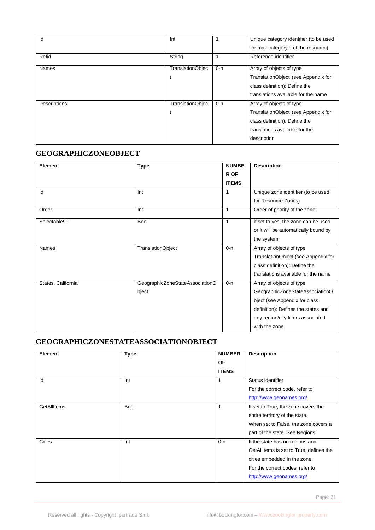| Id           | Int              |         | Unique category identifier (to be used<br>for maincategoryid of the resource)                                                                     |
|--------------|------------------|---------|---------------------------------------------------------------------------------------------------------------------------------------------------|
| Refid        | String           |         | Reference identifier                                                                                                                              |
| <b>Names</b> | TranslationObjec | $0 - n$ | Array of objects of type<br>TranslationObject (see Appendix for<br>class definition): Define the<br>translations available for the name           |
| Descriptions | TranslationObjec | $0 - n$ | Array of objects of type<br>TranslationObject (see Appendix for<br>class definition): Define the<br>translations available for the<br>description |

#### **GEOGRAPHICZONEOBJECT**

| Element            | <b>Type</b>                     | <b>NUMBE</b> | <b>Description</b>                   |
|--------------------|---------------------------------|--------------|--------------------------------------|
|                    |                                 | R OF         |                                      |
|                    |                                 | <b>ITEMS</b> |                                      |
| Id                 | Int                             | 1            | Unique zone identifier (to be used   |
|                    |                                 |              | for Resource Zones)                  |
| Order              | Int                             | 1            | Order of priority of the zone        |
| Selectable99       | <b>Bool</b>                     | 1            | if set to yes, the zone can be used  |
|                    |                                 |              | or it will be automatically bound by |
|                    |                                 |              | the system                           |
| Names              | <b>TranslationObject</b>        | $0 - n$      | Array of objects of type             |
|                    |                                 |              | TranslationObject (see Appendix for  |
|                    |                                 |              | class definition): Define the        |
|                    |                                 |              | translations available for the name  |
| States, California | GeographicZoneStateAssociationO | $0 - n$      | Array of objects of type             |
|                    | bject                           |              | GeographicZoneStateAssociationO      |
|                    |                                 |              | bject (see Appendix for class        |
|                    |                                 |              | definition): Defines the states and  |
|                    |                                 |              | any region/city filters associated   |
|                    |                                 |              | with the zone                        |

# **GEOGRAPHICZONESTATEASSOCIATIONOBJECT**

| <b>Element</b>     | <b>Type</b> | <b>NUMBER</b> | <b>Description</b>                      |
|--------------------|-------------|---------------|-----------------------------------------|
|                    |             | <b>OF</b>     |                                         |
|                    |             | <b>ITEMS</b>  |                                         |
| Id                 | Int         |               | Status identifier                       |
|                    |             |               | For the correct code, refer to          |
|                    |             |               | http://www.geonames.org/                |
| <b>GetAllItems</b> | <b>Bool</b> |               | If set to True, the zone covers the     |
|                    |             |               | entire territory of the state.          |
|                    |             |               | When set to False, the zone covers a    |
|                    |             |               | part of the state. See Regions          |
| <b>Cities</b>      | Int         | $0 - n$       | If the state has no regions and         |
|                    |             |               | GetAllItems is set to True, defines the |
|                    |             |               | cities embedded in the zone.            |
|                    |             |               | For the correct codes, refer to         |
|                    |             |               | http://www.geonames.org/                |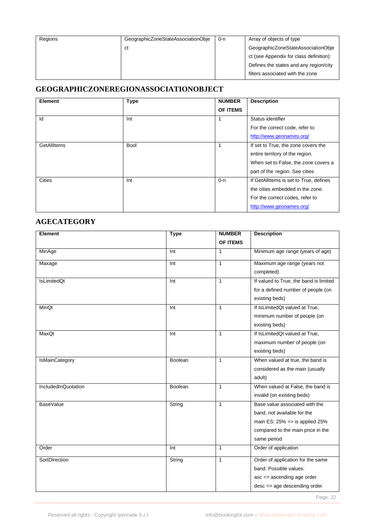| Regions | GeographicZoneStateAssociationObie | 0-n | Array of objects of type                |
|---------|------------------------------------|-----|-----------------------------------------|
|         | ct                                 |     | GeographicZoneStateAssociationObje      |
|         |                                    |     | ct (see Appendix for class definition): |
|         |                                    |     | Defines the states and any region/city  |
|         |                                    |     | filters associated with the zone        |

# **GEOGRAPHICZONEREGIONASSOCIATIONOBJECT**

| <b>Element</b> | <b>Type</b> | <b>NUMBER</b> | <b>Description</b>                     |
|----------------|-------------|---------------|----------------------------------------|
|                |             | OF ITEMS      |                                        |
| Id             | Int         |               | Status identifier                      |
|                |             |               | For the correct code, refer to         |
|                |             |               | http://www.geonames.org/               |
| GetAllItems    | <b>Bool</b> |               | If set to True, the zone covers the    |
|                |             |               | entire territory of the region.        |
|                |             |               | When set to False, the zone covers a   |
|                |             |               | part of the region. See cities         |
| Cities         | Int         | $0 - n$       | If GetAllItems is set to True, defines |
|                |             |               | the cities embedded in the zone.       |
|                |             |               | For the correct codes, refer to        |
|                |             |               | http://www.geonames.org/               |

#### **AGECATEGORY**

| <b>Element</b>        | <b>Type</b>        | <b>NUMBER</b> | <b>Description</b>                     |
|-----------------------|--------------------|---------------|----------------------------------------|
|                       |                    | OF ITEMS      |                                        |
| MinAge                | Int                | 1             | Minimum age range (years of age)       |
| Maxage                | $\overline{\ln t}$ | $\mathbf{1}$  | Maximum age range (years not           |
|                       |                    |               | completed)                             |
| <b>IsLimitedQt</b>    | Int                | $\mathbf{1}$  | If valued to True, the band is limited |
|                       |                    |               | for a defined number of people (on     |
|                       |                    |               | existing beds)                         |
| MinQt                 | Int                | $\mathbf{1}$  | If IsLimitedQt valued at True,         |
|                       |                    |               | minimum number of people (on           |
|                       |                    |               | existing beds)                         |
| MaxQt                 | Int                | $\mathbf{1}$  | If IsLimitedQt valued at True,         |
|                       |                    |               | maximum number of people (on           |
|                       |                    |               | existing beds)                         |
| <b>IsMainCategory</b> | Boolean            | $\mathbf{1}$  | When valued at true, the band is       |
|                       |                    |               | considered as the main (usually        |
|                       |                    |               | adult)                                 |
| IncludedInQuotation   | Boolean            | $\mathbf{1}$  | When valued at False, the band is      |
|                       |                    |               | invalid (on existing beds)             |
| BaseValue             | String             | $\mathbf{1}$  | Base value associated with the         |
|                       |                    |               | band, not available for the            |
|                       |                    |               | main ES: $25\%$ => is applied $25\%$   |
|                       |                    |               | compared to the main price in the      |
|                       |                    |               | same period                            |
| Order                 | Int                | $\mathbf{1}$  | Order of application                   |
| SortDirection         | String             | $\mathbf{1}$  | Order of application for the same      |
|                       |                    |               | band. Possible values:                 |
|                       |                    |               | asc => ascending age order             |
|                       |                    |               | desc => age descending order           |

Page: 32 and 2010 and 2010 and 2010 and 2010 and 2010 and 2010 and 2010 and 2010 and 2010 and 2010 and 2010 and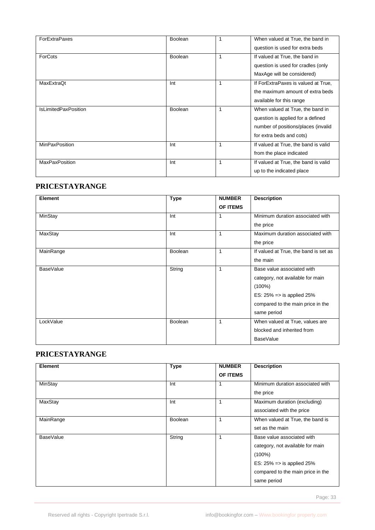| <b>ForExtraPaxes</b>        | <b>Boolean</b> | 1            | When valued at True, the band in<br>question is used for extra beds                                                                      |
|-----------------------------|----------------|--------------|------------------------------------------------------------------------------------------------------------------------------------------|
| ForCots                     | <b>Boolean</b> | 1            | If valued at True, the band in<br>question is used for cradles (only<br>MaxAge will be considered)                                       |
| MaxExtraQt                  | Int            | 1            | If ForExtraPaxes is valued at True,<br>the maximum amount of extra beds<br>available for this range                                      |
| <b>IsLimitedPaxPosition</b> | <b>Boolean</b> | 1            | When valued at True, the band in<br>question is applied for a defined<br>number of positions/places (invalid<br>for extra beds and cots) |
| <b>MinPaxPosition</b>       | Int            | 1            | If valued at True, the band is valid<br>from the place indicated                                                                         |
| <b>MaxPaxPosition</b>       | Int            | $\mathbf{1}$ | If valued at True, the band is valid<br>up to the indicated place                                                                        |

### **PRICESTAYRANGE**

| Element          | <b>Type</b>    | <b>NUMBER</b><br><b>OF ITEMS</b> | <b>Description</b>                                                                                                                                                       |
|------------------|----------------|----------------------------------|--------------------------------------------------------------------------------------------------------------------------------------------------------------------------|
| MinStay          | Int            | 1                                | Minimum duration associated with<br>the price                                                                                                                            |
| MaxStay          | Int            | 1                                | Maximum duration associated with<br>the price                                                                                                                            |
| MainRange        | <b>Boolean</b> | 1                                | If valued at True, the band is set as<br>the main                                                                                                                        |
| <b>BaseValue</b> | String         | 1                                | Base value associated with<br>category, not available for main<br>$(100\%)$<br>ES: $25\% \Rightarrow$ is applied 25%<br>compared to the main price in the<br>same period |
| LockValue        | <b>Boolean</b> | 1                                | When valued at True, values are<br>blocked and inherited from<br><b>BaseValue</b>                                                                                        |

#### **PRICESTAYRANGE**

| Element   | <b>Type</b>    | <b>NUMBER</b> | <b>Description</b>                    |
|-----------|----------------|---------------|---------------------------------------|
|           |                | OF ITEMS      |                                       |
| MinStay   | Int            | 1             | Minimum duration associated with      |
|           |                |               | the price                             |
| MaxStay   | Int            | 1             | Maximum duration (excluding)          |
|           |                |               | associated with the price             |
| MainRange | <b>Boolean</b> | 1             | When valued at True, the band is      |
|           |                |               | set as the main                       |
| BaseValue | String         | 1             | Base value associated with            |
|           |                |               | category, not available for main      |
|           |                |               | $(100\%)$                             |
|           |                |               | ES: $25\% \Rightarrow$ is applied 25% |
|           |                |               | compared to the main price in the     |
|           |                |               | same period                           |

Page: 33 September 2014 - 2014 - 2014 - 2014 - 2014 - 2014 - 2014 - 2014 - 2014 - 2014 - 2014 - 2014 - 2014 - 2014 - 2014 - 2014 - 2014 - 2014 - 2014 - 2014 - 2014 - 2014 - 2014 - 2014 - 2014 - 2014 - 2014 - 2014 - 2014 -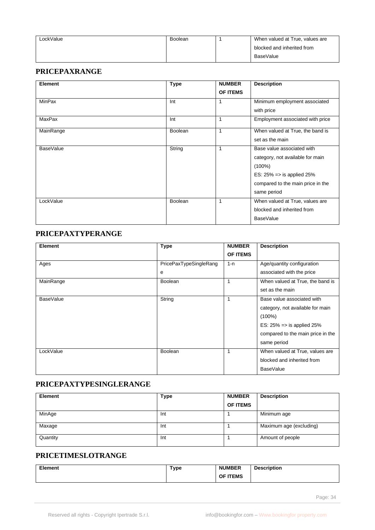| LockValue | Boolean | When valued at True, values are |
|-----------|---------|---------------------------------|
|           |         | blocked and inherited from      |
|           |         | BaseValue                       |

#### **PRICEPAXRANGE**

| Element          | <b>Type</b>    | <b>NUMBER</b> | <b>Description</b>                    |
|------------------|----------------|---------------|---------------------------------------|
|                  |                | OF ITEMS      |                                       |
| MinPax           | Int            | 1             | Minimum employment associated         |
|                  |                |               | with price                            |
| <b>MaxPax</b>    | Int            | 1             | Employment associated with price      |
| MainRange        | <b>Boolean</b> | $\mathbf{1}$  | When valued at True, the band is      |
|                  |                |               | set as the main                       |
| <b>BaseValue</b> | String         | 1             | Base value associated with            |
|                  |                |               | category, not available for main      |
|                  |                |               | $(100\%)$                             |
|                  |                |               | ES: $25\% \Rightarrow$ is applied 25% |
|                  |                |               | compared to the main price in the     |
|                  |                |               | same period                           |
| LockValue        | <b>Boolean</b> | 1             | When valued at True, values are       |
|                  |                |               | blocked and inherited from            |
|                  |                |               | <b>BaseValue</b>                      |

#### **PRICEPAXTYPERANGE**

| Element          | <b>Type</b>            | <b>NUMBER</b> | <b>Description</b>                    |
|------------------|------------------------|---------------|---------------------------------------|
|                  |                        | OF ITEMS      |                                       |
| Ages             | PricePaxTypeSingleRang | $1 - n$       | Age/quantity configuration            |
|                  | e                      |               | associated with the price             |
| MainRange        | <b>Boolean</b>         | 1             | When valued at True, the band is      |
|                  |                        |               | set as the main                       |
| <b>BaseValue</b> | String                 | 1             | Base value associated with            |
|                  |                        |               | category, not available for main      |
|                  |                        |               | $(100\%)$                             |
|                  |                        |               | ES: $25\% \Rightarrow$ is applied 25% |
|                  |                        |               | compared to the main price in the     |
|                  |                        |               | same period                           |
| LockValue        | <b>Boolean</b>         | 1             | When valued at True, values are       |
|                  |                        |               | blocked and inherited from            |
|                  |                        |               | <b>BaseValue</b>                      |

# **PRICEPAXTYPESINGLERANGE**

| <b>Element</b> | Type | <b>NUMBER</b>   | <b>Description</b>      |
|----------------|------|-----------------|-------------------------|
|                |      | <b>OF ITEMS</b> |                         |
| MinAge         | Int  |                 | Minimum age             |
| Maxage         | Int  |                 | Maximum age (excluding) |
| Quantity       | Int  |                 | Amount of people        |

# **PRICETIMESLOTRANGE**

| Element | Type | <b>NUMBER</b> | <b>Description</b><br>$\sim$ $\sim$ $\sim$ $\sim$ |
|---------|------|---------------|---------------------------------------------------|
|         |      | OF ITEMS      |                                                   |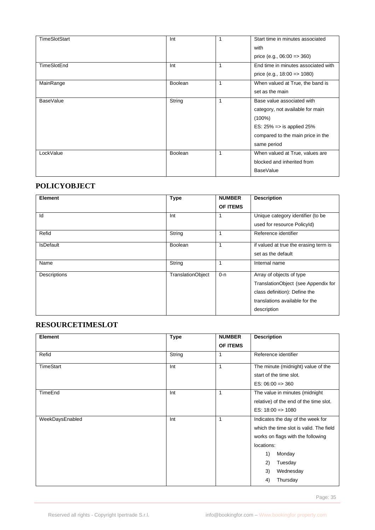| <b>TimeSlotStart</b> | Int            |   | Start time in minutes associated<br>with<br>price (e.g., $06:00 \Rightarrow 360$ )                                                                                       |
|----------------------|----------------|---|--------------------------------------------------------------------------------------------------------------------------------------------------------------------------|
| TimeSlotEnd          | Int            | 1 | End time in minutes associated with<br>price (e.g., $18:00 \Rightarrow 1080$ )                                                                                           |
| MainRange            | <b>Boolean</b> |   | When valued at True, the band is<br>set as the main                                                                                                                      |
| BaseValue            | String         | 1 | Base value associated with<br>category, not available for main<br>$(100\%)$<br>ES: $25\% \Rightarrow$ is applied 25%<br>compared to the main price in the<br>same period |
| LockValue            | <b>Boolean</b> |   | When valued at True, values are<br>blocked and inherited from<br><b>BaseValue</b>                                                                                        |

# **POLICYOBJECT**

| Element          | <b>Type</b>              | <b>NUMBER</b> | <b>Description</b>                    |
|------------------|--------------------------|---------------|---------------------------------------|
|                  |                          | OF ITEMS      |                                       |
| Id               | Int                      | 1             | Unique category identifier (to be     |
|                  |                          |               | used for resource PolicyId)           |
| Refid            | String                   | 1             | Reference identifier                  |
| <b>IsDefault</b> | Boolean                  | 1             | if valued at true the erasing term is |
|                  |                          |               | set as the default                    |
| Name             | String                   | 1             | Internal name                         |
| Descriptions     | <b>TranslationObject</b> | $0 - n$       | Array of objects of type              |
|                  |                          |               | TranslationObject (see Appendix for   |
|                  |                          |               | class definition): Define the         |
|                  |                          |               | translations available for the        |
|                  |                          |               | description                           |

# **RESOURCETIMESLOT**

| Element         | <b>Type</b> | <b>NUMBER</b> | <b>Description</b>                      |
|-----------------|-------------|---------------|-----------------------------------------|
|                 |             | OF ITEMS      |                                         |
| Refid           | String      | 1             | Reference identifier                    |
| TimeStart       | Int         | 1             | The minute (midnight) value of the      |
|                 |             |               | start of the time slot.                 |
|                 |             |               | $ES: 06:00 \Rightarrow 360$             |
| TimeEnd         | Int         | 1             | The value in minutes (midnight          |
|                 |             |               | relative) of the end of the time slot.  |
|                 |             |               | ES: $18:00 \Rightarrow 1080$            |
| WeekDaysEnabled | Int         | 1             | Indicates the day of the week for       |
|                 |             |               | which the time slot is valid. The field |
|                 |             |               | works on flags with the following       |
|                 |             |               | locations:                              |
|                 |             |               | 1)<br>Monday                            |
|                 |             |               | Tuesday<br>2)                           |
|                 |             |               | Wednesday<br>3)                         |
|                 |             |               | 4)<br>Thursday                          |

Page: 35 and 2012 and 2012 and 2012 and 2012 and 2012 and 2012 and 2012 and 2012 and 2012 and 2012 and 2012 and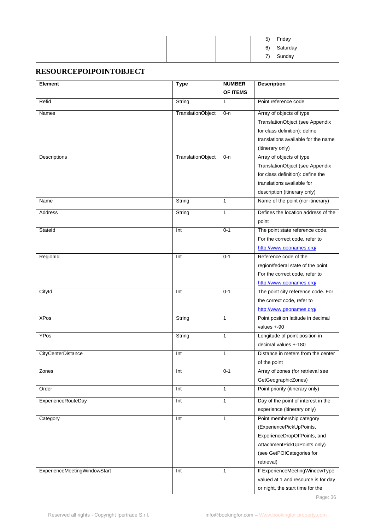|  | 5)                       | Friday   |
|--|--------------------------|----------|
|  | 6)                       | Saturday |
|  | $\overline{\phantom{a}}$ | Sunday   |

#### **RESOURCEPOIPOINTOBJECT**

| Element                      | <b>Type</b>              | <b>NUMBER</b> | <b>Description</b>                  |
|------------------------------|--------------------------|---------------|-------------------------------------|
|                              |                          | OF ITEMS      |                                     |
| Refid                        | String                   | $\mathbf{1}$  | Point reference code                |
| Names                        | <b>TranslationObject</b> | $0 - n$       | Array of objects of type            |
|                              |                          |               | TranslationObject (see Appendix     |
|                              |                          |               | for class definition): define       |
|                              |                          |               | translations available for the name |
|                              |                          |               | (itinerary only)                    |
| Descriptions                 | <b>TranslationObject</b> | 0-n           | Array of objects of type            |
|                              |                          |               | TranslationObject (see Appendix     |
|                              |                          |               | for class definition): define the   |
|                              |                          |               | translations available for          |
|                              |                          |               | description (itinerary only)        |
| Name                         | String                   | 1             | Name of the point (nor itinerary)   |
| Address                      | String                   | 1             | Defines the location address of the |
|                              |                          |               | point                               |
| StateId                      | Int                      | $0 - 1$       | The point state reference code.     |
|                              |                          |               | For the correct code, refer to      |
|                              |                          |               | http://www.geonames.org/            |
| RegionId                     | Int                      | $0 - 1$       | Reference code of the               |
|                              |                          |               | region/federal state of the point.  |
|                              |                          |               | For the correct code, refer to      |
|                              |                          |               | http://www.geonames.org/            |
| Cityld                       | Int                      | $0 - 1$       | The point city reference code. For  |
|                              |                          |               | the correct code, refer to          |
|                              |                          |               | http://www.geonames.org/            |
| <b>XPos</b>                  | String                   | $\mathbf{1}$  | Point position latitude in decimal  |
|                              |                          |               | values $+90$                        |
| YPos                         | String                   | 1             | Longitude of point position in      |
|                              |                          |               | decimal values +-180                |
| <b>CityCenterDistance</b>    | Int                      | 1             | Distance in meters from the center  |
|                              |                          |               | of the point                        |
| Zones                        | Int                      | $0 - 1$       | Array of zones (for retrieval see   |
|                              |                          |               | GetGeographicZones)                 |
| Order                        | Int                      | $\mathbf{1}$  | Point priority (itinerary only)     |
| ExperienceRouteDay           | Int                      | $\mathbf{1}$  | Day of the point of interest in the |
|                              |                          |               | experience (itinerary only)         |
| Category                     | Int                      | $\mathbf{1}$  | Point membership category           |
|                              |                          |               | (ExperiencePickUpPoints,            |
|                              |                          |               | ExperienceDropOffPoints, and        |
|                              |                          |               | AttachmentPickUpPoints only)        |
|                              |                          |               | (see GetPOICategories for           |
|                              |                          |               | retrieval)                          |
| ExperienceMeetingWindowStart | Int                      | 1             | If ExperienceMeetingWindowType      |
|                              |                          |               | valued at 1 and resource is for day |
|                              |                          |               | or night, the start time for the    |

Page: 36 and 2012 and 2012 and 2012 and 2012 and 2012 and 2012 and 2012 and 2012 and 2012 and 2012 and 2012 and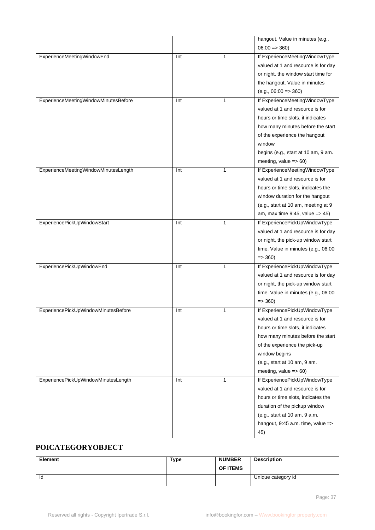|                                      |     |              | hangout. Value in minutes (e.g.,               |
|--------------------------------------|-----|--------------|------------------------------------------------|
|                                      |     |              | $06:00 \Rightarrow 360$                        |
| ExperienceMeetingWindowEnd           | Int | $\mathbf{1}$ | If ExperienceMeetingWindowType                 |
|                                      |     |              | valued at 1 and resource is for day            |
|                                      |     |              | or night, the window start time for            |
|                                      |     |              | the hangout. Value in minutes                  |
|                                      |     |              | $(e.g., 06:00 => 360)$                         |
| ExperienceMeetingWindowMinutesBefore | Int | $\mathbf{1}$ | If ExperienceMeetingWindowType                 |
|                                      |     |              | valued at 1 and resource is for                |
|                                      |     |              | hours or time slots, it indicates              |
|                                      |     |              | how many minutes before the start              |
|                                      |     |              | of the experience the hangout                  |
|                                      |     |              | window                                         |
|                                      |     |              | begins (e.g., start at 10 am, 9 am.            |
|                                      |     |              | meeting, value $\approx$ 60)                   |
| ExperienceMeetingWindowMinutesLength | Int | $\mathbf{1}$ | If ExperienceMeetingWindowType                 |
|                                      |     |              | valued at 1 and resource is for                |
|                                      |     |              | hours or time slots, indicates the             |
|                                      |     |              | window duration for the hangout                |
|                                      |     |              | (e.g., start at 10 am, meeting at 9            |
|                                      |     |              | am, max time $9:45$ , value => 45)             |
| ExperiencePickUpWindowStart          | Int | $\mathbf{1}$ | If ExperiencePickUpWindowType                  |
|                                      |     |              | valued at 1 and resource is for day            |
|                                      |     |              | or night, the pick-up window start             |
|                                      |     |              | time. Value in minutes (e.g., 06:00            |
|                                      |     |              | $\Rightarrow$ 360)                             |
| ExperiencePickUpWindowEnd            | Int | $\mathbf{1}$ | If ExperiencePickUpWindowType                  |
|                                      |     |              | valued at 1 and resource is for day            |
|                                      |     |              | or night, the pick-up window start             |
|                                      |     |              | time. Value in minutes (e.g., 06:00            |
|                                      |     |              | $\Rightarrow$ 360)                             |
| ExperiencePickUpWindowMinutesBefore  | Int | 1            | If ExperiencePickUpWindowType                  |
|                                      |     |              | valued at 1 and resource is for                |
|                                      |     |              | hours or time slots, it indicates              |
|                                      |     |              | how many minutes before the start              |
|                                      |     |              | of the experience the pick-up                  |
|                                      |     |              | window begins                                  |
|                                      |     |              | (e.g., start at 10 am, 9 am.                   |
|                                      |     |              | meeting, value $=> 60$ )                       |
| ExperiencePickUpWindowMinutesLength  | Int | $\mathbf{1}$ | If ExperiencePickUpWindowType                  |
|                                      |     |              | valued at 1 and resource is for                |
|                                      |     |              | hours or time slots, indicates the             |
|                                      |     |              | duration of the pickup window                  |
|                                      |     |              | (e.g., start at 10 am, 9 a.m.                  |
|                                      |     |              | hangout, $9:45$ a.m. time, value $\Rightarrow$ |
|                                      |     |              | 45)                                            |

# **POICATEGORYOBJECT**

| Element | Type | <b>NUMBER</b><br><b>OF ITEMS</b> | <b>Description</b> |
|---------|------|----------------------------------|--------------------|
| ld      |      |                                  | Unique category id |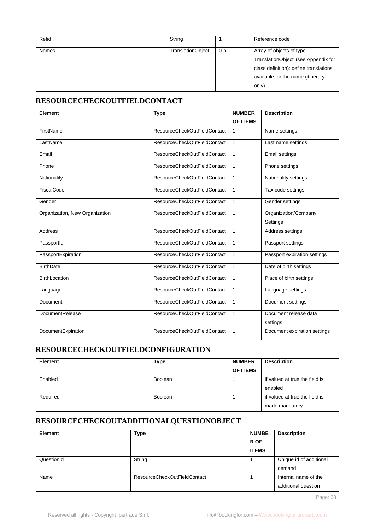| Refid        | String                   |     | Reference code                                                                                                                                          |
|--------------|--------------------------|-----|---------------------------------------------------------------------------------------------------------------------------------------------------------|
| <b>Names</b> | <b>TranslationObject</b> | 0-n | Array of objects of type<br>TranslationObject (see Appendix for<br>class definition): define translations<br>available for the name (itinerary<br>only) |

## **RESOURCECHECKOUTFIELDCONTACT**

| Element                        | <b>Type</b>                  | <b>NUMBER</b> | <b>Description</b>           |
|--------------------------------|------------------------------|---------------|------------------------------|
|                                |                              | OF ITEMS      |                              |
| FirstName                      | ResourceCheckOutFieldContact | 1             | Name settings                |
| LastName                       | ResourceCheckOutFieldContact | 1             | Last name settings           |
| Email                          | ResourceCheckOutFieldContact | 1             | <b>Email settings</b>        |
| Phone                          | ResourceCheckOutFieldContact | 1             | Phone settings               |
| Nationality                    | ResourceCheckOutFieldContact | 1             | Nationality settings         |
| FiscalCode                     | ResourceCheckOutFieldContact | $\mathbf{1}$  | Tax code settings            |
| Gender                         | ResourceCheckOutFieldContact | 1             | Gender settings              |
| Organization, New Organization | ResourceCheckOutFieldContact | $\mathbf{1}$  | Organization/Company         |
|                                |                              |               | Settings                     |
| <b>Address</b>                 | ResourceCheckOutFieldContact | $\mathbf{1}$  | Address settings             |
| PassportId                     | ResourceCheckOutFieldContact | 1             | Passport settings            |
| PassportExpiration             | ResourceCheckOutFieldContact | 1             | Passport expiration settings |
| <b>BirthDate</b>               | ResourceCheckOutFieldContact | 1             | Date of birth settings       |
| <b>BirthLocation</b>           | ResourceCheckOutFieldContact | 1             | Place of birth settings      |
| Language                       | ResourceCheckOutFieldContact | 1             | Language settings            |
| Document                       | ResourceCheckOutFieldContact | 1             | Document settings            |
| <b>DocumentRelease</b>         | ResourceCheckOutFieldContact | 1             | Document release data        |
|                                |                              |               | settings                     |
| DocumentExpiration             | ResourceCheckOutFieldContact | 1             | Document expiration settings |

## **RESOURCECHECKOUTFIELDCONFIGURATION**

| <b>Element</b> | Type           | <b>NUMBER</b>   | <b>Description</b>             |
|----------------|----------------|-----------------|--------------------------------|
|                |                | <b>OF ITEMS</b> |                                |
| Enabled        | <b>Boolean</b> |                 | if valued at true the field is |
|                |                |                 | enabled                        |
| Required       | Boolean        |                 | if valued at true the field is |
|                |                |                 | made mandatory                 |

# **RESOURCECHECKOUTADDITIONALQUESTIONOBJECT**

| <b>Element</b> | <b>Type</b>                  | <b>NUMBE</b> | <b>Description</b>                          |
|----------------|------------------------------|--------------|---------------------------------------------|
|                |                              | R OF         |                                             |
|                |                              | <b>ITEMS</b> |                                             |
| QuestionId     | String                       |              | Unique id of additional<br>demand           |
| Name           | ResourceCheckOutFieldContact |              | Internal name of the<br>additional question |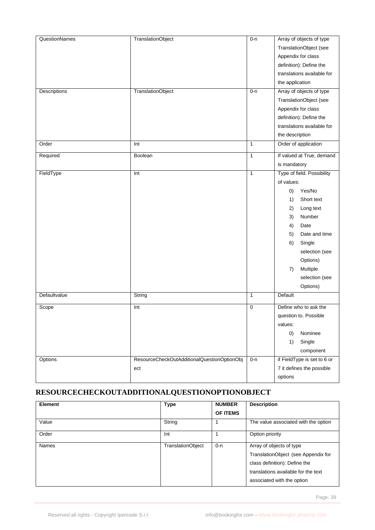| <b>QuestionNames</b> | <b>TranslationObject</b>                    | $0 - n$      | Array of objects of type    |
|----------------------|---------------------------------------------|--------------|-----------------------------|
|                      |                                             |              | TranslationObject (see      |
|                      |                                             |              | Appendix for class          |
|                      |                                             |              | definition): Define the     |
|                      |                                             |              | translations available for  |
|                      |                                             |              | the application             |
| Descriptions         | <b>TranslationObject</b>                    | $0 - n$      | Array of objects of type    |
|                      |                                             |              | TranslationObject (see      |
|                      |                                             |              | Appendix for class          |
|                      |                                             |              | definition): Define the     |
|                      |                                             |              | translations available for  |
|                      |                                             |              | the description             |
| Order                | Int                                         | $\mathbf{1}$ | Order of application        |
| Required             | Boolean                                     | 1            | If valued at True, demand   |
|                      |                                             |              | is mandatory                |
| FieldType            | Int                                         | $\mathbf{1}$ | Type of field. Possibility  |
|                      |                                             |              | of values:                  |
|                      |                                             |              | Yes/No<br>$\left( 0\right)$ |
|                      |                                             |              | Short text<br>1)            |
|                      |                                             |              | 2)<br>Long text             |
|                      |                                             |              | Number<br>3)                |
|                      |                                             |              | 4)<br>Date                  |
|                      |                                             |              | Date and time<br>5)         |
|                      |                                             |              | 6)<br>Single                |
|                      |                                             |              | selection (see              |
|                      |                                             |              | Options)                    |
|                      |                                             |              | Multiple<br>7)              |
|                      |                                             |              | selection (see              |
|                      |                                             |              | Options)                    |
| Defaultvalue         | String                                      | $\mathbf{1}$ | Default                     |
| Scope                | Int                                         | 0            | Define who to ask the       |
|                      |                                             |              | question to. Possible       |
|                      |                                             |              | values:                     |
|                      |                                             |              | (0)<br>Nominee              |
|                      |                                             |              | Single<br>1)                |
|                      |                                             |              | component                   |
| Options              | ResourceCheckOutAdditionalQuestionOptionObj | $0 - n$      | if FieldType is set to 6 or |
|                      | ect                                         |              | 7 it defines the possible   |
|                      |                                             |              | options                     |

# **RESOURCECHECKOUTADDITIONALQUESTIONOPTIONOBJECT**

| <b>Element</b> | <b>Type</b>              | <b>NUMBER</b>   | <b>Description</b>                   |
|----------------|--------------------------|-----------------|--------------------------------------|
|                |                          | <b>OF ITEMS</b> |                                      |
| Value          | String                   |                 | The value associated with the option |
| Order          | Int                      |                 | Option priority                      |
| Names          | <b>TranslationObject</b> | $0 - n$         | Array of objects of type             |
|                |                          |                 | TranslationObject (see Appendix for  |
|                |                          |                 | class definition): Define the        |
|                |                          |                 | translations available for the text  |
|                |                          |                 | associated with the option           |

Page: 39 and 2012 and 2012 and 2012 and 2012 and 2012 and 2012 and 2012 and 2012 and 2012 and 2012 and 2012 and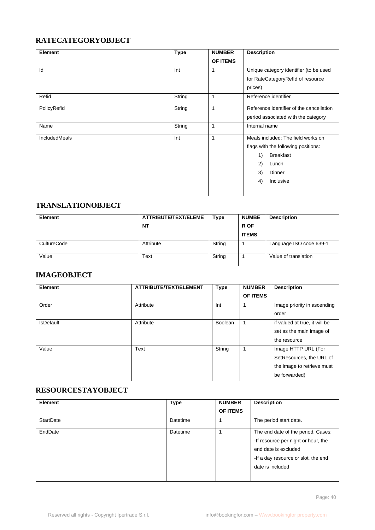#### **RATECATEGORYOBJECT**

| Element       | <b>Type</b> | <b>NUMBER</b> | <b>Description</b>                       |
|---------------|-------------|---------------|------------------------------------------|
|               |             | OF ITEMS      |                                          |
| Id            | Int         | $\mathbf{1}$  | Unique category identifier (to be used   |
|               |             |               | for RateCategoryRefId of resource        |
|               |             |               | prices)                                  |
| Refid         | String      | $\mathbf{1}$  | Reference identifier                     |
| PolicyRefld   | String      | 1             | Reference identifier of the cancellation |
|               |             |               | period associated with the category      |
| Name          | String      | $\mathbf{1}$  | Internal name                            |
| IncludedMeals | Int         | $\mathbf{1}$  | Meals included: The field works on       |
|               |             |               | flags with the following positions:      |
|               |             |               | <b>Breakfast</b><br>1)                   |
|               |             |               | 2)<br>Lunch                              |
|               |             |               | 3)<br>Dinner                             |
|               |             |               | 4)<br>Inclusive                          |
|               |             |               |                                          |

# **TRANSLATIONOBJECT**

| <b>Element</b> | ATTRIBUTE/TEXT/ELEME | <b>Type</b> | <b>NUMBE</b> | <b>Description</b>      |
|----------------|----------------------|-------------|--------------|-------------------------|
|                | <b>NT</b>            |             | R OF         |                         |
|                |                      |             | <b>ITEMS</b> |                         |
| CultureCode    | Attribute            | String      |              | Language ISO code 639-1 |
| Value          | Text                 | String      |              | Value of translation    |

# **IMAGEOBJECT**

| Element          | ATTRIBUTE/TEXT/ELEMENT | <b>Type</b> | <b>NUMBER</b><br><b>OF ITEMS</b> | <b>Description</b>                                                                             |
|------------------|------------------------|-------------|----------------------------------|------------------------------------------------------------------------------------------------|
| Order            | Attribute              | Int         |                                  | Image priority in ascending<br>order                                                           |
| <b>IsDefault</b> | Attribute              | Boolean     |                                  | if valued at true, it will be<br>set as the main image of<br>the resource                      |
| Value            | Text                   | String      |                                  | Image HTTP URL (For<br>SetResources, the URL of<br>the image to retrieve must<br>be forwarded) |

### **RESOURCESTAYOBJECT**

| <b>Element</b>   | <b>Type</b> | <b>NUMBER</b><br><b>OF ITEMS</b> | <b>Description</b>                                                                                                                                           |
|------------------|-------------|----------------------------------|--------------------------------------------------------------------------------------------------------------------------------------------------------------|
| <b>StartDate</b> | Datetime    |                                  | The period start date.                                                                                                                                       |
| EndDate          | Datetime    |                                  | The end date of the period. Cases:<br>-If resource per night or hour, the<br>end date is excluded<br>-If a day resource or slot, the end<br>date is included |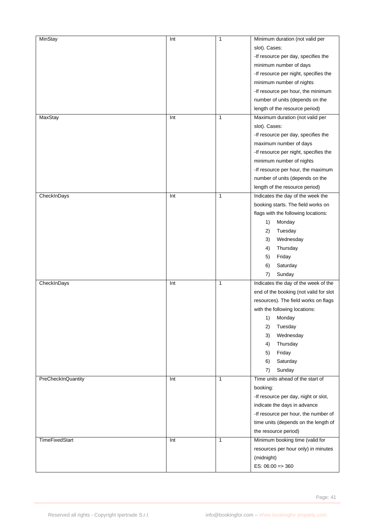| <b>MinStay</b><br>MaxStay | Int<br>Int | $\mathbf{1}$<br>$\mathbf{1}$ | Minimum duration (not valid per<br>slot). Cases:<br>-If resource per day, specifies the<br>minimum number of days<br>-If resource per night, specifies the<br>minimum number of nights<br>-If resource per hour, the minimum<br>number of units (depends on the<br>length of the resource period)<br>Maximum duration (not valid per |
|---------------------------|------------|------------------------------|--------------------------------------------------------------------------------------------------------------------------------------------------------------------------------------------------------------------------------------------------------------------------------------------------------------------------------------|
|                           |            |                              | slot). Cases:<br>-If resource per day, specifies the<br>maximum number of days<br>-If resource per night, specifies the<br>minimum number of nights<br>-If resource per hour, the maximum<br>number of units (depends on the<br>length of the resource period)                                                                       |
| CheckInDays               | Int        | $\mathbf{1}$                 | Indicates the day of the week the<br>booking starts. The field works on<br>flags with the following locations:<br>Monday<br>1)<br>Tuesday<br>2)<br>3)<br>Wednesday<br>Thursday<br>4)<br>Friday<br>5)<br>Saturday<br>6)<br>Sunday<br>7)                                                                                               |
| CheckInDays               | Int        | $\mathbf{1}$                 | Indicates the day of the week of the<br>end of the booking (not valid for slot<br>resources). The field works on flags<br>with the following locations:<br>Monday<br>1)<br>2)<br>Tuesday<br>Wednesday<br>3)<br>Thursday<br>4)<br>Friday<br>5)<br>Saturday<br>6)<br>7)<br>Sunday                                                      |
| PreCheckInQuantity        | Int        | $\mathbf{1}$                 | Time units ahead of the start of<br>booking:<br>-If resource per day, night or slot,<br>indicate the days in advance<br>-If resource per hour, the number of<br>time units (depends on the length of<br>the resource period)                                                                                                         |
| <b>TimeFixedStart</b>     | Int        | $\mathbf{1}$                 | Minimum booking time (valid for<br>resources per hour only) in minutes<br>(midnight)<br>ES: $06:00 \Rightarrow 360$                                                                                                                                                                                                                  |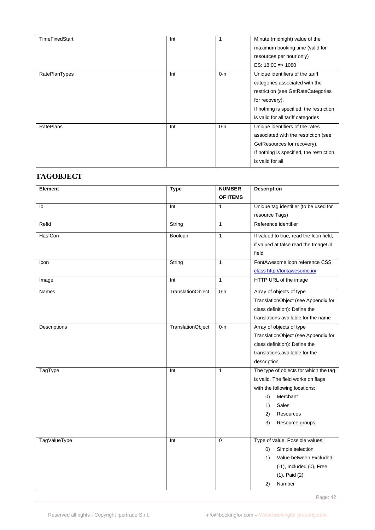| <b>TimeFixedStart</b> | Int |         | Minute (midnight) value of the<br>maximum booking time (valid for<br>resources per hour only)<br>$ES: 18:00 \Rightarrow 1080$                                                                                |
|-----------------------|-----|---------|--------------------------------------------------------------------------------------------------------------------------------------------------------------------------------------------------------------|
| RatePlanTypes         | Int | $0 - n$ | Unique identifiers of the tariff<br>categories associated with the<br>restriction (see GetRateCategories<br>for recovery).<br>If nothing is specified, the restriction<br>is valid for all tariff categories |
| <b>RatePlans</b>      | Int | $0 - n$ | Unique identifiers of the rates<br>associated with the restriction (see<br>GetResources for recovery).<br>If nothing is specified, the restriction<br>is valid for all                                       |

#### **TAGOBJECT**

| Element             | <b>Type</b>              | <b>NUMBER</b>   | <b>Description</b>                                   |
|---------------------|--------------------------|-----------------|------------------------------------------------------|
|                     |                          | <b>OF ITEMS</b> |                                                      |
| Id                  | Int                      | $\mathbf{1}$    | Unique tag identifier (to be used for                |
|                     |                          |                 | resource Tags)                                       |
| Refid               | String                   | $\overline{1}$  | Reference identifier                                 |
| HasICon             | Boolean                  | $\mathbf{1}$    | If valued to true, read the Icon field;              |
|                     |                          |                 | if valued at false read the ImageUrl                 |
|                     |                          |                 | field                                                |
| Icon                | String                   | $\mathbf{1}$    | FontAwesome icon reference CSS                       |
|                     |                          |                 | class http://fontawesome.io/                         |
| Image               | Int                      | $\mathbf{1}$    | HTTP URL of the image                                |
| <b>Names</b>        | <b>TranslationObject</b> | $0 - n$         | Array of objects of type                             |
|                     |                          |                 | TranslationObject (see Appendix for                  |
|                     |                          |                 | class definition): Define the                        |
|                     |                          |                 | translations available for the name                  |
| Descriptions        | TranslationObject        | $0 - n$         | Array of objects of type                             |
|                     |                          |                 | TranslationObject (see Appendix for                  |
|                     |                          |                 | class definition): Define the                        |
|                     |                          |                 | translations available for the                       |
|                     | Int                      | $\mathbf{1}$    | description<br>The type of objects for which the tag |
| TagType             |                          |                 | is valid. The field works on flags                   |
|                     |                          |                 | with the following locations:                        |
|                     |                          |                 | Merchant<br>$\left( 0\right)$                        |
|                     |                          |                 | Sales<br>1)                                          |
|                     |                          |                 | 2)<br>Resources                                      |
|                     |                          |                 | 3)<br>Resource groups                                |
|                     |                          |                 |                                                      |
| <b>TagValueType</b> | Int                      | $\mathbf 0$     | Type of value. Possible values:                      |
|                     |                          |                 | Simple selection<br>(0)                              |
|                     |                          |                 | Value between Excluded<br>1)                         |
|                     |                          |                 | $(-1)$ , Included $(0)$ , Free                       |
|                     |                          |                 | $(1)$ , Paid $(2)$                                   |
|                     |                          |                 | Number<br>2)                                         |

Page: 42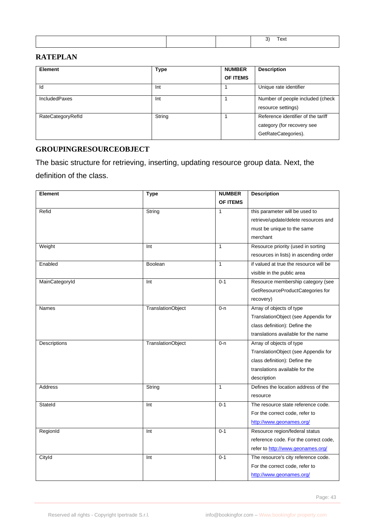|--|

## **RATEPLAN**

| Element              | <b>Type</b> | <b>NUMBER</b><br><b>OF ITEMS</b> | <b>Description</b>                                                                      |
|----------------------|-------------|----------------------------------|-----------------------------------------------------------------------------------------|
| Id                   | Int         |                                  | Unique rate identifier                                                                  |
| <b>IncludedPaxes</b> | Int         |                                  | Number of people included (check<br>resource settings)                                  |
| RateCategoryRefld    | String      |                                  | Reference identifier of the tariff<br>category (for recovery see<br>GetRateCategories). |

# **GROUPINGRESOURCEOBJECT**

The basic structure for retrieving, inserting, updating resource group data. Next, the definition of the class.

| <b>Element</b>      | <b>Type</b>              | <b>NUMBER</b> | <b>Description</b>                     |
|---------------------|--------------------------|---------------|----------------------------------------|
|                     |                          | OF ITEMS      |                                        |
| Refid               | String                   | 1             | this parameter will be used to         |
|                     |                          |               | retrieve/update/delete resources and   |
|                     |                          |               | must be unique to the same             |
|                     |                          |               | merchant                               |
| Weight              | Int                      | $\mathbf{1}$  | Resource priority (used in sorting     |
|                     |                          |               | resources in lists) in ascending order |
| Enabled             | Boolean                  | $\mathbf{1}$  | if valued at true the resource will be |
|                     |                          |               | visible in the public area             |
| MainCategoryId      | Int                      | $0 - 1$       | Resource membership category (see      |
|                     |                          |               | GetResourceProductCategories for       |
|                     |                          |               | recovery)                              |
| <b>Names</b>        | TranslationObject        | 0-n           | Array of objects of type               |
|                     |                          |               | TranslationObject (see Appendix for    |
|                     |                          |               | class definition): Define the          |
|                     |                          |               | translations available for the name    |
| <b>Descriptions</b> | <b>TranslationObject</b> | $0 - n$       | Array of objects of type               |
|                     |                          |               | TranslationObject (see Appendix for    |
|                     |                          |               | class definition): Define the          |
|                     |                          |               | translations available for the         |
|                     |                          |               | description                            |
| <b>Address</b>      | String                   | $\mathbf{1}$  | Defines the location address of the    |
|                     |                          |               | resource                               |
| Stateld             | Int                      | $0 - 1$       | The resource state reference code.     |
|                     |                          |               | For the correct code, refer to         |
|                     |                          |               | http://www.geonames.org/               |
| RegionId            | Int                      | $0 - 1$       | Resource region/federal status         |
|                     |                          |               | reference code. For the correct code,  |
|                     |                          |               | refer to http://www.geonames.org/      |
| Cityld              | Int                      | $0 - 1$       | The resource's city reference code.    |
|                     |                          |               | For the correct code, refer to         |
|                     |                          |               | http://www.geonames.org/               |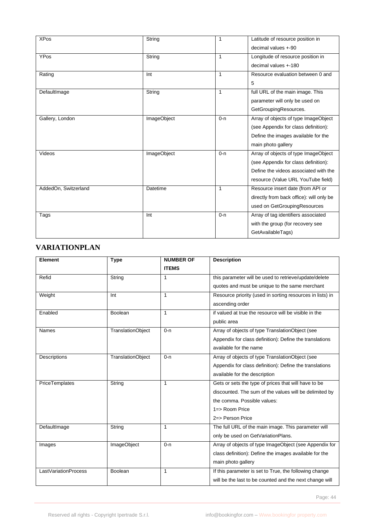| <b>XPos</b>          | String             | $\mathbf{1}$ | Latitude of resource position in         |
|----------------------|--------------------|--------------|------------------------------------------|
|                      |                    |              | decimal values +-90                      |
| <b>YPos</b>          | String             | $\mathbf{1}$ | Longitude of resource position in        |
|                      |                    |              | decimal values +-180                     |
| Rating               | Int                | $\mathbf{1}$ | Resource evaluation between 0 and        |
|                      |                    |              | 5                                        |
| DefaultImage         | String             | $\mathbf{1}$ | full URL of the main image. This         |
|                      |                    |              | parameter will only be used on           |
|                      |                    |              | GetGroupingResources.                    |
| Gallery, London      | ImageObject        | $0 - n$      | Array of objects of type ImageObject     |
|                      |                    |              | (see Appendix for class definition):     |
|                      |                    |              | Define the images available for the      |
|                      |                    |              | main photo gallery                       |
| Videos               | <b>ImageObject</b> | $0 - n$      | Array of objects of type ImageObject     |
|                      |                    |              | (see Appendix for class definition):     |
|                      |                    |              | Define the videos associated with the    |
|                      |                    |              | resource (Value URL YouTube field)       |
| AddedOn, Switzerland | Datetime           | 1            | Resource insert date (from API or        |
|                      |                    |              | directly from back office): will only be |
|                      |                    |              | used on GetGroupingResources             |
| Tags                 | Int                | $0 - n$      | Array of tag identifiers associated      |
|                      |                    |              | with the group (for recovery see         |
|                      |                    |              | GetAvailableTags)                        |

# **VARIATIONPLAN**

| Element              | <b>Type</b>              | <b>NUMBER OF</b><br><b>ITEMS</b> | <b>Description</b>                                                           |
|----------------------|--------------------------|----------------------------------|------------------------------------------------------------------------------|
| Refid                | String                   | $\mathbf{1}$                     | this parameter will be used to retrieve/update/delete                        |
|                      |                          |                                  | quotes and must be unique to the same merchant                               |
| Weight               | Int                      | $\mathbf{1}$                     | Resource priority (used in sorting resources in lists) in<br>ascending order |
| Enabled              | Boolean                  | $\mathbf{1}$                     | if valued at true the resource will be visible in the<br>public area         |
| Names                | <b>TranslationObject</b> | $0 - n$                          | Array of objects of type TranslationObject (see                              |
|                      |                          |                                  | Appendix for class definition): Define the translations                      |
|                      |                          |                                  | available for the name                                                       |
| Descriptions         | <b>TranslationObject</b> | $0 - n$                          | Array of objects of type TranslationObject (see                              |
|                      |                          |                                  | Appendix for class definition): Define the translations                      |
|                      |                          |                                  | available for the description                                                |
| PriceTemplates       | String                   | $\mathbf{1}$                     | Gets or sets the type of prices that will have to be                         |
|                      |                          |                                  | discounted. The sum of the values will be delimited by                       |
|                      |                          |                                  | the comma. Possible values:                                                  |
|                      |                          |                                  | 1=> Room Price                                                               |
|                      |                          |                                  | 2=> Person Price                                                             |
| DefaultImage         | String                   | $\mathbf{1}$                     | The full URL of the main image. This parameter will                          |
|                      |                          |                                  | only be used on GetVariationPlans.                                           |
| Images               | ImageObject              | $0 - n$                          | Array of objects of type ImageObject (see Appendix for                       |
|                      |                          |                                  | class definition): Define the images available for the                       |
|                      |                          |                                  | main photo gallery                                                           |
| LastVariationProcess | Boolean                  | 1                                | If this parameter is set to True, the following change                       |
|                      |                          |                                  | will be the last to be counted and the next change will                      |

Page: 44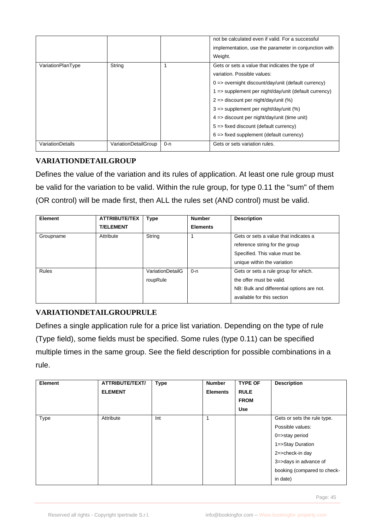|                         |                      |         | not be calculated even if valid. For a successful                |
|-------------------------|----------------------|---------|------------------------------------------------------------------|
|                         |                      |         | implementation, use the parameter in conjunction with            |
|                         |                      |         | Weight.                                                          |
| VariationPlanType       | String               |         | Gets or sets a value that indicates the type of                  |
|                         |                      |         | variation. Possible values:                                      |
|                         |                      |         | $0 \Rightarrow$ overnight discount/day/unit (default currency)   |
|                         |                      |         | $1 \Rightarrow$ supplement per night/day/unit (default currency) |
|                         |                      |         | $2 \Rightarrow$ discount per night/day/unit (%)                  |
|                         |                      |         | $3 \Rightarrow$ supplement per night/day/unit (%)                |
|                         |                      |         | $4 \Rightarrow$ discount per night/day/unit (time unit)          |
|                         |                      |         | $5 \Rightarrow$ fixed discount (default currency)                |
|                         |                      |         | $6 \Rightarrow$ fixed supplement (default currency)              |
| <b>VariationDetails</b> | VariationDetailGroup | $0 - n$ | Gets or sets variation rules.                                    |

# **VARIATIONDETAILGROUP**

Defines the value of the variation and its rules of application. At least one rule group must be valid for the variation to be valid. Within the rule group, for type 0.11 the "sum" of them (OR control) will be made first, then ALL the rules set (AND control) must be valid.

| <b>Element</b> | <b>ATTRIBUTE/TEX</b> | <b>Type</b>      | <b>Number</b>   | <b>Description</b>                         |
|----------------|----------------------|------------------|-----------------|--------------------------------------------|
|                | <b>T/ELEMENT</b>     |                  | <b>Elements</b> |                                            |
| Groupname      | Attribute            | String           |                 | Gets or sets a value that indicates a      |
|                |                      |                  |                 | reference string for the group             |
|                |                      |                  |                 | Specified. This value must be.             |
|                |                      |                  |                 | unique within the variation                |
| Rules          |                      | VariationDetailG | $0 - n$         | Gets or sets a rule group for which.       |
|                |                      | roupRule         |                 | the offer must be valid.                   |
|                |                      |                  |                 | NB: Bulk and differential options are not. |
|                |                      |                  |                 | available for this section                 |

# **VARIATIONDETAILGROUPRULE**

Defines a single application rule for a price list variation. Depending on the type of rule (Type field), some fields must be specified. Some rules (type 0.11) can be specified multiple times in the same group. See the field description for possible combinations in a rule.

| <b>Element</b> | ATTRIBUTE/TEXT/<br><b>ELEMENT</b> | <b>Type</b> | <b>Number</b><br><b>Elements</b> | <b>TYPE OF</b><br><b>RULE</b><br><b>FROM</b><br><b>Use</b> | <b>Description</b>          |
|----------------|-----------------------------------|-------------|----------------------------------|------------------------------------------------------------|-----------------------------|
| Type           | Attribute                         | Int         | 1                                |                                                            | Gets or sets the rule type. |
|                |                                   |             |                                  |                                                            | Possible values:            |
|                |                                   |             |                                  |                                                            | 0=>stay period              |
|                |                                   |             |                                  |                                                            | 1=>Stay Duration            |
|                |                                   |             |                                  |                                                            | 2=>check-in day             |
|                |                                   |             |                                  |                                                            | 3=>days in advance of       |
|                |                                   |             |                                  |                                                            | booking (compared to check- |
|                |                                   |             |                                  |                                                            | in date)                    |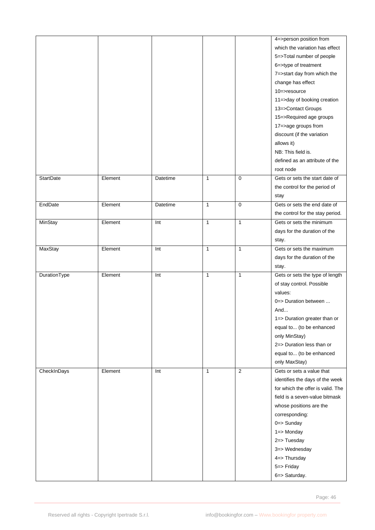|                  |         |          |              |                | 4=>person position from           |
|------------------|---------|----------|--------------|----------------|-----------------------------------|
|                  |         |          |              |                | which the variation has effect    |
|                  |         |          |              |                | 5=>Total number of people         |
|                  |         |          |              |                | 6=>type of treatment              |
|                  |         |          |              |                | 7=>start day from which the       |
|                  |         |          |              |                | change has effect                 |
|                  |         |          |              |                | $10$ =>resource                   |
|                  |         |          |              |                | 11=>day of booking creation       |
|                  |         |          |              |                | 13=>Contact Groups                |
|                  |         |          |              |                | 15=>Required age groups           |
|                  |         |          |              |                | 17=>age groups from               |
|                  |         |          |              |                | discount (if the variation        |
|                  |         |          |              |                | allows it)                        |
|                  |         |          |              |                | NB: This field is.                |
|                  |         |          |              |                | defined as an attribute of the    |
|                  |         |          |              |                | root node                         |
| <b>StartDate</b> | Element | Datetime | $\mathbf{1}$ | $\mathbf 0$    | Gets or sets the start date of    |
|                  |         |          |              |                | the control for the period of     |
|                  |         |          |              |                | stay                              |
| EndDate          | Element | Datetime | $\mathbf{1}$ | $\mathbf 0$    | Gets or sets the end date of      |
|                  |         |          |              |                | the control for the stay period.  |
| MinStay          | Element | Int      | $\mathbf{1}$ | $\mathbf{1}$   | Gets or sets the minimum          |
|                  |         |          |              |                | days for the duration of the      |
|                  |         |          |              |                | stay.                             |
| MaxStay          | Element | Int      | $\mathbf{1}$ | $\mathbf{1}$   | Gets or sets the maximum          |
|                  |         |          |              |                |                                   |
|                  |         |          |              |                | days for the duration of the      |
|                  |         | Int      | $\mathbf{1}$ | $\mathbf{1}$   | stay.                             |
| DurationType     | Element |          |              |                | Gets or sets the type of length   |
|                  |         |          |              |                | of stay control. Possible         |
|                  |         |          |              |                | values:                           |
|                  |         |          |              |                | $0 \Rightarrow$ Duration between  |
|                  |         |          |              |                | And                               |
|                  |         |          |              |                | 1=> Duration greater than or      |
|                  |         |          |              |                | equal to (to be enhanced          |
|                  |         |          |              |                | only MinStay)                     |
|                  |         |          |              |                | 2=> Duration less than or         |
|                  |         |          |              |                | equal to (to be enhanced          |
|                  |         |          |              |                | only MaxStay)                     |
| CheckInDays      | Element | Int      | $\mathbf{1}$ | $\overline{2}$ | Gets or sets a value that         |
|                  |         |          |              |                | identifies the days of the week   |
|                  |         |          |              |                | for which the offer is valid. The |
|                  |         |          |              |                | field is a seven-value bitmask    |
|                  |         |          |              |                | whose positions are the           |
|                  |         |          |              |                | corresponding:                    |
|                  |         |          |              |                | 0=> Sunday                        |
|                  |         |          |              |                | 1=> Monday                        |
|                  |         |          |              |                | 2=> Tuesday                       |
|                  |         |          |              |                | 3=> Wednesday                     |
|                  |         |          |              |                | 4=> Thursday                      |
|                  |         |          |              |                | 5=> Friday                        |
|                  |         |          |              |                | 6=> Saturday.                     |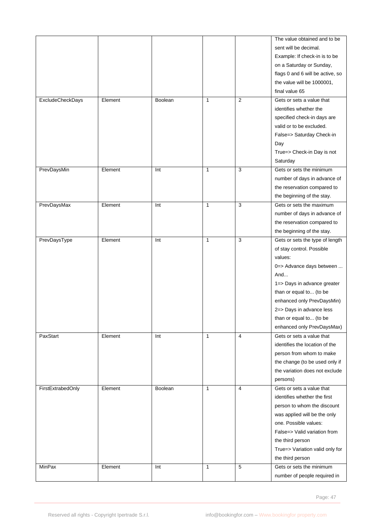|                   |         |                |              |                | The value obtained and to be     |
|-------------------|---------|----------------|--------------|----------------|----------------------------------|
|                   |         |                |              |                | sent will be decimal.            |
|                   |         |                |              |                | Example: If check-in is to be    |
|                   |         |                |              |                | on a Saturday or Sunday,         |
|                   |         |                |              |                | flags 0 and 6 will be active, so |
|                   |         |                |              |                | the value will be 1000001,       |
|                   |         |                |              |                | final value 65                   |
| ExcludeCheckDays  | Element | Boolean        | 1            | $\overline{2}$ | Gets or sets a value that        |
|                   |         |                |              |                | identifies whether the           |
|                   |         |                |              |                | specified check-in days are      |
|                   |         |                |              |                | valid or to be excluded.         |
|                   |         |                |              |                | False=> Saturday Check-in        |
|                   |         |                |              |                | Day                              |
|                   |         |                |              |                | True=> Check-in Day is not       |
|                   |         |                |              |                |                                  |
|                   |         |                |              |                | Saturday                         |
| PrevDaysMin       | Element | Int            | 1            | 3              | Gets or sets the minimum         |
|                   |         |                |              |                | number of days in advance of     |
|                   |         |                |              |                | the reservation compared to      |
|                   |         |                |              |                | the beginning of the stay.       |
| PrevDaysMax       | Element | Int            | 1            | 3              | Gets or sets the maximum         |
|                   |         |                |              |                | number of days in advance of     |
|                   |         |                |              |                | the reservation compared to      |
|                   |         |                |              |                | the beginning of the stay.       |
| PrevDaysType      | Element | Int            | 1            | 3              | Gets or sets the type of length  |
|                   |         |                |              |                | of stay control. Possible        |
|                   |         |                |              |                | values:                          |
|                   |         |                |              |                | 0=> Advance days between         |
|                   |         |                |              |                | And                              |
|                   |         |                |              |                | 1=> Days in advance greater      |
|                   |         |                |              |                | than or equal to (to be          |
|                   |         |                |              |                | enhanced only PrevDaysMin)       |
|                   |         |                |              |                | 2=> Days in advance less         |
|                   |         |                |              |                | than or equal to (to be          |
|                   |         |                |              |                |                                  |
|                   |         |                |              |                | enhanced only PrevDaysMax)       |
| PaxStart          | Element | Int            | $\mathbf{1}$ | 4              | Gets or sets a value that        |
|                   |         |                |              |                | identifies the location of the   |
|                   |         |                |              |                | person from whom to make         |
|                   |         |                |              |                | the change (to be used only if   |
|                   |         |                |              |                | the variation does not exclude   |
|                   |         |                |              |                | persons)                         |
| FirstExtrabedOnly | Element | <b>Boolean</b> | $\mathbf{1}$ | $\overline{4}$ | Gets or sets a value that        |
|                   |         |                |              |                | identifies whether the first     |
|                   |         |                |              |                | person to whom the discount      |
|                   |         |                |              |                | was applied will be the only     |
|                   |         |                |              |                | one. Possible values:            |
|                   |         |                |              |                | False=> Valid variation from     |
|                   |         |                |              |                | the third person                 |
|                   |         |                |              |                | True=> Variation valid only for  |
|                   |         |                |              |                | the third person                 |
| <b>MinPax</b>     | Element | Int            | $\mathbf{1}$ | $\overline{5}$ | Gets or sets the minimum         |
|                   |         |                |              |                |                                  |
|                   |         |                |              |                | number of people required in     |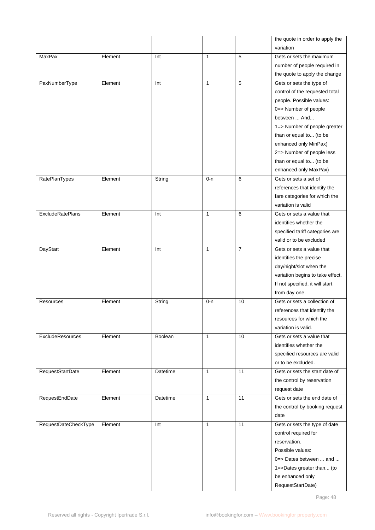|                         |         |                |              |                | the quote in order to apply the                     |
|-------------------------|---------|----------------|--------------|----------------|-----------------------------------------------------|
|                         |         |                |              |                | variation                                           |
| MaxPax                  | Element | Int            | $\mathbf{1}$ | 5              | Gets or sets the maximum                            |
|                         |         |                |              |                | number of people required in                        |
|                         |         |                |              |                | the quote to apply the change                       |
| PaxNumberType           | Element | Int            | $\mathbf{1}$ | 5              | Gets or sets the type of                            |
|                         |         |                |              |                | control of the requested total                      |
|                         |         |                |              |                | people. Possible values:                            |
|                         |         |                |              |                | 0=> Number of people                                |
|                         |         |                |              |                | between  And                                        |
|                         |         |                |              |                | 1=> Number of people greater                        |
|                         |         |                |              |                | than or equal to (to be                             |
|                         |         |                |              |                | enhanced only MinPax)                               |
|                         |         |                |              |                | 2=> Number of people less                           |
|                         |         |                |              |                | than or equal to (to be                             |
|                         |         |                |              |                | enhanced only MaxPax)                               |
| <b>RatePlanTypes</b>    | Element | String         | $0 - n$      | 6              | Gets or sets a set of                               |
|                         |         |                |              |                |                                                     |
|                         |         |                |              |                | references that identify the                        |
|                         |         |                |              |                | fare categories for which the<br>variation is valid |
|                         |         |                |              |                |                                                     |
| <b>ExcludeRatePlans</b> | Element | Int            | $\mathbf{1}$ | 6              | Gets or sets a value that                           |
|                         |         |                |              |                | identifies whether the                              |
|                         |         |                |              |                | specified tariff categories are                     |
|                         |         |                |              |                | valid or to be excluded                             |
| DayStart                | Element | Int            | $\mathbf{1}$ | $\overline{7}$ | Gets or sets a value that                           |
|                         |         |                |              |                | identifies the precise                              |
|                         |         |                |              |                | day/night/slot when the                             |
|                         |         |                |              |                | variation begins to take effect.                    |
|                         |         |                |              |                | If not specified, it will start                     |
|                         |         |                |              |                | from day one.                                       |
| <b>Resources</b>        | Element | String         | 0-n          | 10             | Gets or sets a collection of                        |
|                         |         |                |              |                | references that identify the                        |
|                         |         |                |              |                | resources for which the                             |
|                         |         |                |              |                | variation is valid.                                 |
| ExcludeResources        | Element | <b>Boolean</b> | $\mathbf{1}$ | 10             | Gets or sets a value that                           |
|                         |         |                |              |                | identifies whether the                              |
|                         |         |                |              |                | specified resources are valid                       |
|                         |         |                |              |                | or to be excluded.                                  |
| RequestStartDate        | Element | Datetime       | $\mathbf{1}$ | 11             | Gets or sets the start date of                      |
|                         |         |                |              |                | the control by reservation                          |
|                         |         |                |              |                | request date                                        |
| RequestEndDate          | Element | Datetime       | $\mathbf{1}$ | 11             | Gets or sets the end date of                        |
|                         |         |                |              |                | the control by booking request                      |
|                         |         |                |              |                | date                                                |
| RequestDateCheckType    | Element | Int            | $\mathbf{1}$ | 11             | Gets or sets the type of date                       |
|                         |         |                |              |                | control required for                                |
|                         |         |                |              |                | reservation.                                        |
|                         |         |                |              |                | Possible values:                                    |
|                         |         |                |              |                | $0 \Rightarrow$ Dates between  and                  |
|                         |         |                |              |                | 1=>Dates greater than (to                           |
|                         |         |                |              |                | be enhanced only                                    |
|                         |         |                |              |                | RequestStartDate)                                   |
|                         |         |                |              |                |                                                     |

Page: 48 and 2012 and 2012 and 2012 and 2012 and 2012 and 2012 and 2012 and 2012 and 2012 and 2012 and 2012 and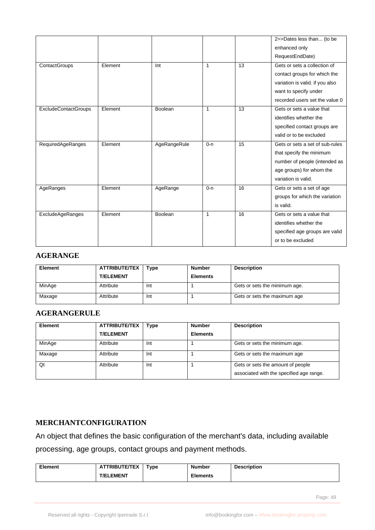|                             |         |              |              |    | 2=>Dates less than (to be       |
|-----------------------------|---------|--------------|--------------|----|---------------------------------|
|                             |         |              |              |    | enhanced only                   |
|                             |         |              |              |    | RequestEndDate)                 |
| ContactGroups               | Element | Int          | $\mathbf{1}$ | 13 | Gets or sets a collection of    |
|                             |         |              |              |    | contact groups for which the    |
|                             |         |              |              |    | variation is valid. if you also |
|                             |         |              |              |    | want to specify under           |
|                             |         |              |              |    | recorded users set the value 0  |
| <b>ExcludeContactGroups</b> | Element | Boolean      | $\mathbf{1}$ | 13 | Gets or sets a value that       |
|                             |         |              |              |    | identifies whether the          |
|                             |         |              |              |    | specified contact groups are    |
|                             |         |              |              |    | valid or to be excluded         |
| RequiredAgeRanges           | Element | AgeRangeRule | $0 - n$      | 15 | Gets or sets a set of sub-rules |
|                             |         |              |              |    | that specify the minimum        |
|                             |         |              |              |    | number of people (intended as   |
|                             |         |              |              |    | age groups) for whom the        |
|                             |         |              |              |    | variation is valid.             |
| AgeRanges                   | Element | AgeRange     | $0 - n$      | 16 | Gets or sets a set of age       |
|                             |         |              |              |    | groups for which the variation  |
|                             |         |              |              |    | is valid.                       |
| ExcludeAgeRanges            | Element | Boolean      | 1            | 16 | Gets or sets a value that       |
|                             |         |              |              |    | identifies whether the          |
|                             |         |              |              |    | specified age groups are valid  |
|                             |         |              |              |    | or to be excluded               |

#### **AGERANGE**

| <b>Element</b> | <b>ATTRIBUTE/TEX</b><br><b>T/ELEMENT</b> | Type | <b>Number</b><br><b>Elements</b> | <b>Description</b>            |
|----------------|------------------------------------------|------|----------------------------------|-------------------------------|
| MinAge         | Attribute                                | Int  |                                  | Gets or sets the minimum age. |
| Maxage         | Attribute                                | Int  |                                  | Gets or sets the maximum age  |

## **AGERANGERULE**

| Element | <b>ATTRIBUTE/TEX</b> | <b>Type</b> | <b>Number</b>   | <b>Description</b>                                                            |
|---------|----------------------|-------------|-----------------|-------------------------------------------------------------------------------|
|         | <b>T/ELEMENT</b>     |             | <b>Elements</b> |                                                                               |
| MinAge  | Attribute            | Int         |                 | Gets or sets the minimum age.                                                 |
| Maxage  | Attribute            | Int         |                 | Gets or sets the maximum age                                                  |
| Qt      | Attribute            | Int         |                 | Gets or sets the amount of people<br>associated with the specified age range. |

### **MERCHANTCONFIGURATION**

An object that defines the basic configuration of the merchant's data, including available processing, age groups, contact groups and payment methods.

| <b>Element</b> | <b>ATTRIBUTE/TEX</b> | туре | Number          | <b>Description</b> |
|----------------|----------------------|------|-----------------|--------------------|
|                | <b>T/ELEMENT</b>     |      | <b>Elements</b> |                    |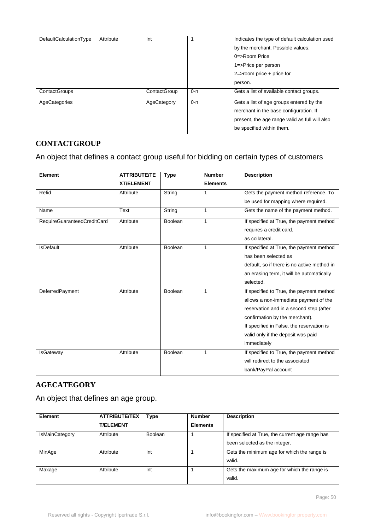| <b>DefaultCalculationType</b> | Attribute | Int          |         | Indicates the type of default calculation used<br>by the merchant. Possible values:<br>$0 \Rightarrow$ Room Price<br>1=>Price per person<br>$2 \Rightarrow$ room price + price for<br>person. |
|-------------------------------|-----------|--------------|---------|-----------------------------------------------------------------------------------------------------------------------------------------------------------------------------------------------|
| ContactGroups                 |           | ContactGroup | $0 - n$ | Gets a list of available contact groups.                                                                                                                                                      |
| AgeCategories                 |           | AgeCategory  | $0 - n$ | Gets a list of age groups entered by the<br>merchant in the base configuration. If<br>present, the age range valid as full will also<br>be specified within them.                             |

#### **CONTACTGROUP**

An object that defines a contact group useful for bidding on certain types of customers

| <b>Element</b>              | <b>ATTRIBUTE/TE</b> | <b>Type</b> | <b>Number</b>   | <b>Description</b>                          |
|-----------------------------|---------------------|-------------|-----------------|---------------------------------------------|
|                             | <b>XT/ELEMENT</b>   |             | <b>Elements</b> |                                             |
| Refid                       | Attribute           | String      | 1               | Gets the payment method reference. To       |
|                             |                     |             |                 | be used for mapping where required.         |
| Name                        | Text                | String      | 1               | Gets the name of the payment method.        |
| RequireGuaranteedCreditCard | Attribute           | Boolean     | $\mathbf{1}$    | If specified at True, the payment method    |
|                             |                     |             |                 | requires a credit card.                     |
|                             |                     |             |                 | as collateral.                              |
| <b>IsDefault</b>            | Attribute           | Boolean     | $\mathbf{1}$    | If specified at True, the payment method    |
|                             |                     |             |                 | has been selected as                        |
|                             |                     |             |                 | default, so if there is no active method in |
|                             |                     |             |                 | an erasing term, it will be automatically   |
|                             |                     |             |                 | selected.                                   |
| DeferredPayment             | Attribute           | Boolean     | 1               | If specified to True, the payment method    |
|                             |                     |             |                 | allows a non-immediate payment of the       |
|                             |                     |             |                 | reservation and in a second step (after     |
|                             |                     |             |                 | confirmation by the merchant).              |
|                             |                     |             |                 | If specified in False, the reservation is   |
|                             |                     |             |                 | valid only if the deposit was paid          |
|                             |                     |             |                 | immediately                                 |
| <b>IsGateway</b>            | Attribute           | Boolean     | 1               | If specified to True, the payment method    |
|                             |                     |             |                 | will redirect to the associated             |
|                             |                     |             |                 | bank/PayPal account                         |

# **AGECATEGORY**

An object that defines an age group.

| <b>Element</b>        | <b>ATTRIBUTE/TEX</b> | Type           | <b>Number</b>   | <b>Description</b>                              |
|-----------------------|----------------------|----------------|-----------------|-------------------------------------------------|
|                       | <b>T/ELEMENT</b>     |                | <b>Elements</b> |                                                 |
| <b>IsMainCategory</b> | Attribute            | <b>Boolean</b> |                 | If specified at True, the current age range has |
|                       |                      |                |                 | been selected as the integer.                   |
| MinAge                | Attribute            | Int            |                 | Gets the minimum age for which the range is     |
|                       |                      |                |                 | valid.                                          |
| Maxage                | Attribute            | Int            |                 | Gets the maximum age for which the range is     |
|                       |                      |                |                 | valid.                                          |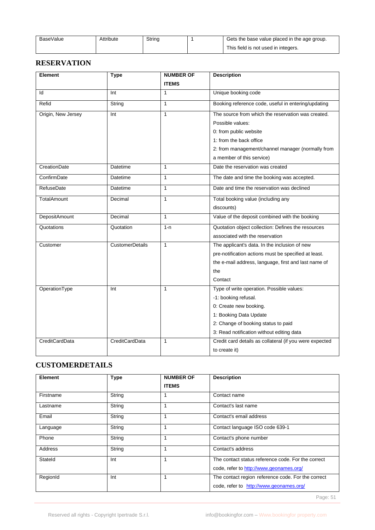| BaseValue | <b>\ttribute</b> | String | Gets the base value placed in the age group. |
|-----------|------------------|--------|----------------------------------------------|
|           |                  |        | This field is not used in integers.          |

## **RESERVATION**

| <b>Element</b>       | <b>Type</b>            | <b>NUMBER OF</b> | <b>Description</b>                                      |
|----------------------|------------------------|------------------|---------------------------------------------------------|
|                      |                        | <b>ITEMS</b>     |                                                         |
| ld                   | Int                    | $\mathbf{1}$     | Unique booking code                                     |
| Refid                | String                 | $\mathbf{1}$     | Booking reference code, useful in entering/updating     |
| Origin, New Jersey   | Int                    | $\mathbf{1}$     | The source from which the reservation was created.      |
|                      |                        |                  | Possible values:                                        |
|                      |                        |                  | 0: from public website                                  |
|                      |                        |                  | 1: from the back office                                 |
|                      |                        |                  | 2: from management/channel manager (normally from       |
|                      |                        |                  | a member of this service)                               |
| CreationDate         | Datetime               | $\mathbf{1}$     | Date the reservation was created                        |
| ConfirmDate          | Datetime               | $\mathbf{1}$     | The date and time the booking was accepted.             |
| RefuseDate           | Datetime               | $\mathbf{1}$     | Date and time the reservation was declined              |
| TotalAmount          | Decimal                | $\mathbf{1}$     | Total booking value (including any                      |
|                      |                        |                  | discounts)                                              |
| <b>DepositAmount</b> | Decimal                | $\mathbf{1}$     | Value of the deposit combined with the booking          |
| Quotations           | Quotation              | $1 - n$          | Quotation object collection: Defines the resources      |
|                      |                        |                  | associated with the reservation                         |
| Customer             | <b>CustomerDetails</b> | $\mathbf{1}$     | The applicant's data. In the inclusion of new           |
|                      |                        |                  | pre-notification actions must be specified at least.    |
|                      |                        |                  | the e-mail address, language, first and last name of    |
|                      |                        |                  | the                                                     |
|                      |                        |                  | Contact                                                 |
| OperationType        | Int                    | $\mathbf{1}$     | Type of write operation. Possible values:               |
|                      |                        |                  | -1: booking refusal.                                    |
|                      |                        |                  | 0: Create new booking.                                  |
|                      |                        |                  | 1: Booking Data Update                                  |
|                      |                        |                  | 2: Change of booking status to paid                     |
|                      |                        |                  | 3: Read notification without editing data               |
| CreditCardData       | CreditCardData         | $\mathbf{1}$     | Credit card details as collateral (if you were expected |
|                      |                        |                  | to create it)                                           |

# **CUSTOMERDETAILS**

| <b>Element</b> | <b>Type</b> | <b>NUMBER OF</b><br><b>ITEMS</b> | <b>Description</b>                                                                            |
|----------------|-------------|----------------------------------|-----------------------------------------------------------------------------------------------|
| Firstname      | String      |                                  | Contact name                                                                                  |
| Lastname       | String      |                                  | Contact's last name                                                                           |
| Email          | String      |                                  | Contact's email address                                                                       |
| Language       | String      |                                  | Contact language ISO code 639-1                                                               |
| Phone          | String      |                                  | Contact's phone number                                                                        |
| Address        | String      |                                  | Contact's address                                                                             |
| Stateld        | Int         |                                  | The contact status reference code. For the correct<br>code, refer to http://www.geonames.org/ |
| RegionId       | Int         |                                  | The contact region reference code. For the correct<br>code, refer to http://www.geonames.org/ |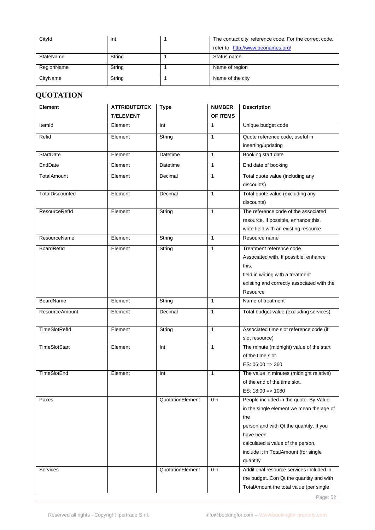| Cityld     | Int    | The contact city reference code. For the correct code, |  |
|------------|--------|--------------------------------------------------------|--|
|            |        | refer to http://www.geonames.org/                      |  |
| StateName  | String | Status name                                            |  |
| RegionName | String | Name of region                                         |  |
| CityName   | String | Name of the city                                       |  |

# **QUOTATION**

| <b>Element</b>        | <b>ATTRIBUTE/TEX</b> | <b>Type</b>      | <b>NUMBER</b> | <b>Description</b>                             |
|-----------------------|----------------------|------------------|---------------|------------------------------------------------|
|                       | <b>T/ELEMENT</b>     |                  | OF ITEMS      |                                                |
| ItemId                | Element              | Int              | 1             | Unique budget code                             |
| Refid                 | Element              | String           | 1             | Quote reference code, useful in                |
|                       |                      |                  |               | inserting/updating                             |
| <b>StartDate</b>      | Element              | Datetime         | $\mathbf{1}$  | Booking start date                             |
| EndDate               | Element              | Datetime         | $\mathbf{1}$  | End date of booking                            |
| <b>TotalAmount</b>    | Element              | Decimal          | $\mathbf{1}$  | Total quote value (including any               |
|                       |                      |                  |               | discounts)                                     |
| TotalDiscounted       | Element              | Decimal          | 1             | Total quote value (excluding any<br>discounts) |
| <b>ResourceRefld</b>  | Element              | String           | $\mathbf{1}$  | The reference code of the associated           |
|                       |                      |                  |               | resource. If possible, enhance this.           |
|                       |                      |                  |               | write field with an existing resource          |
| ResourceName          | Element              | String           | $\mathbf{1}$  | Resource name                                  |
| BoardRefld            | Element              | String           | $\mathbf{1}$  | Treatment reference code                       |
|                       |                      |                  |               | Associated with. If possible, enhance          |
|                       |                      |                  |               | this.                                          |
|                       |                      |                  |               | field in writing with a treatment              |
|                       |                      |                  |               | existing and correctly associated with the     |
|                       |                      |                  |               | Resource                                       |
| <b>BoardName</b>      | Element              | String           | $\mathbf{1}$  | Name of treatment                              |
| <b>ResourceAmount</b> | Element              | Decimal          | 1             | Total budget value (excluding services)        |
|                       |                      |                  |               |                                                |
| <b>TimeSlotRefld</b>  | Element              | String           | $\mathbf{1}$  | Associated time slot reference code (if        |
|                       |                      |                  |               | slot resource)                                 |
| TimeSlotStart         | Element              | Int              | $\mathbf{1}$  | The minute (midnight) value of the start       |
|                       |                      |                  |               | of the time slot.                              |
|                       |                      |                  |               | $ES: 06:00 \Rightarrow 360$                    |
| TimeSlotEnd           | Element              | Int              | $\mathbf{1}$  | The value in minutes (midnight relative)       |
|                       |                      |                  |               | of the end of the time slot.                   |
|                       |                      |                  |               | ES: $18:00 \Rightarrow 1080$                   |
| Paxes                 |                      | QuotationElement | $0 - n$       | People included in the quote. By Value         |
|                       |                      |                  |               | in the single element we mean the age of       |
|                       |                      |                  |               | the                                            |
|                       |                      |                  |               | person and with Qt the quantity. If you        |
|                       |                      |                  |               | have been                                      |
|                       |                      |                  |               | calculated a value of the person,              |
|                       |                      |                  |               | include it in TotalAmount (for single          |
|                       |                      |                  |               | quantity                                       |
| Services              |                      | QuotationElement | $0 - n$       | Additional resource services included in       |
|                       |                      |                  |               | the budget. Con Qt the quantity and with       |
|                       |                      |                  |               | TotalAmount the total value (per single        |

Page: 52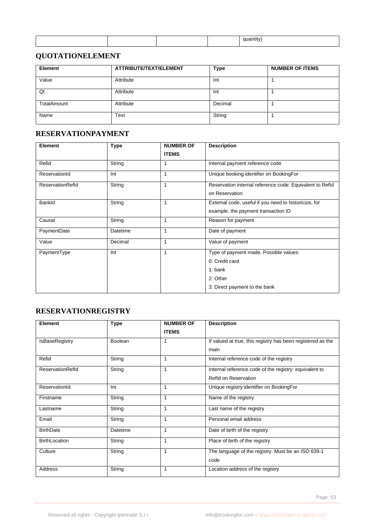# **QUOTATIONELEMENT**

| <b>Element</b> | ATTRIBUTE/TEXT/ELEMENT | <b>Type</b> | <b>NUMBER OF ITEMS</b> |
|----------------|------------------------|-------------|------------------------|
| Value          | Attribute              | Int         |                        |
| Qt             | Attribute              | Int         |                        |
| TotalAmount    | Attribute              | Decimal     |                        |
| Name           | Text                   | String      |                        |

### **RESERVATIONPAYMENT**

| Element                 | <b>Type</b> | <b>NUMBER OF</b> | <b>Description</b>                                       |
|-------------------------|-------------|------------------|----------------------------------------------------------|
|                         |             | <b>ITEMS</b>     |                                                          |
| Refid                   | String      | 1                | Internal payment reference code                          |
| ReservationId           | Int         | 1                | Unique booking identifier on BookingFor                  |
| <b>ReservationRefld</b> | String      | 1                | Reservation internal reference code: Equivalent to Refld |
|                         |             |                  | on Reservation                                           |
| Bankld                  | String      | 1                | External code, useful if you need to historicize, for    |
|                         |             |                  | example, the payment transaction ID                      |
| Causal                  | String      | 1                | Reason for payment                                       |
| PaymentDate             | Datetime    | 1                | Date of payment                                          |
| Value                   | Decimal     | 1                | Value of payment                                         |
| PaymentType             | Int         | 1                | Type of payment made. Possible values:                   |
|                         |             |                  | 0: Credit card                                           |
|                         |             |                  | $1:$ bank                                                |
|                         |             |                  | 2: Other                                                 |
|                         |             |                  | 3: Direct payment to the bank                            |

# **RESERVATIONREGISTRY**

| <b>Element</b>       | <b>Type</b>    | <b>NUMBER OF</b> | <b>Description</b>                                          |  |
|----------------------|----------------|------------------|-------------------------------------------------------------|--|
|                      |                | <b>ITEMS</b>     |                                                             |  |
| IsBaseRegistry       | <b>Boolean</b> | 1                | If valued at true, this registry has been registered as the |  |
|                      |                |                  | main                                                        |  |
| Refid                | String         | 1                | Internal reference code of the registry                     |  |
| ReservationRefld     | String         | 1                | Internal reference code of the registry: equivalent to      |  |
|                      |                |                  | Refld on Reservation                                        |  |
| ReservationId        | Int            | 1                | Unique registry identifier on BookingFor                    |  |
| Firstname            | String         | 1                | Name of the registry                                        |  |
| Lastname             | String         | 1                | Last name of the registry                                   |  |
| Email                | String         | 1                | Personal email address                                      |  |
| <b>BirthDate</b>     | Datetime       | 1                | Date of birth of the registry                               |  |
| <b>BirthLocation</b> | String         | 1                | Place of birth of the registry                              |  |
| Culture              | String         | 1                | The language of the registry. Must be an ISO 639-1          |  |
|                      |                |                  | code                                                        |  |
| Address              | String         | 1                | Location address of the registry                            |  |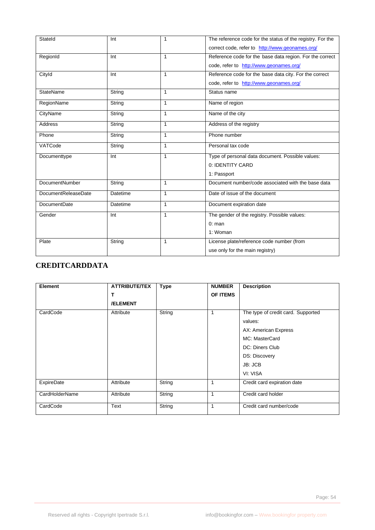| Stateld                    | Int      | 1            | The reference code for the status of the registry. For the |
|----------------------------|----------|--------------|------------------------------------------------------------|
|                            |          |              | correct code, refer to http://www.geonames.org/            |
| RegionId                   | Int      | $\mathbf{1}$ | Reference code for the base data region. For the correct   |
|                            |          |              | code, refer to http://www.geonames.org/                    |
| Cityld                     | Int      | $\mathbf{1}$ | Reference code for the base data city. For the correct     |
|                            |          |              | code, refer to http://www.geonames.org/                    |
| StateName                  | String   | $\mathbf{1}$ | Status name                                                |
| RegionName                 | String   | $\mathbf{1}$ | Name of region                                             |
| CityName                   | String   | $\mathbf{1}$ | Name of the city                                           |
| <b>Address</b>             | String   | $\mathbf{1}$ | Address of the registry                                    |
| Phone                      | String   | $\mathbf{1}$ | Phone number                                               |
| VATCode                    | String   | $\mathbf{1}$ | Personal tax code                                          |
| Documenttype               | Int      | $\mathbf{1}$ | Type of personal data document. Possible values:           |
|                            |          |              | 0: IDENTITY CARD                                           |
|                            |          |              | 1: Passport                                                |
| <b>DocumentNumber</b>      | String   | $\mathbf{1}$ | Document number/code associated with the base data         |
| <b>DocumentReleaseDate</b> | Datetime | $\mathbf{1}$ | Date of issue of the document                              |
| <b>DocumentDate</b>        | Datetime | $\mathbf{1}$ | Document expiration date                                   |
| Gender                     | Int      | $\mathbf{1}$ | The gender of the registry. Possible values:               |
|                            |          |              | $0:$ man                                                   |
|                            |          |              | 1: Woman                                                   |
| Plate                      | String   | $\mathbf{1}$ | License plate/reference code number (from                  |
|                            |          |              | use only for the main registry)                            |

# **CREDITCARDDATA**

| Element        | <b>ATTRIBUTE/TEX</b> | <b>Type</b> | <b>NUMBER</b>   | <b>Description</b>                 |
|----------------|----------------------|-------------|-----------------|------------------------------------|
|                | Т                    |             | <b>OF ITEMS</b> |                                    |
|                | <b>/ELEMENT</b>      |             |                 |                                    |
| CardCode       | Attribute            | String      | 1               | The type of credit card. Supported |
|                |                      |             |                 | values:                            |
|                |                      |             |                 | AX: American Express               |
|                |                      |             |                 | MC: MasterCard                     |
|                |                      |             |                 | DC: Diners Club                    |
|                |                      |             |                 | DS: Discovery                      |
|                |                      |             |                 | JB: JCB                            |
|                |                      |             |                 | VI: VISA                           |
| ExpireDate     | Attribute            | String      | 1               | Credit card expiration date        |
| CardHolderName | Attribute            | String      | 1               | Credit card holder                 |
| CardCode       | Text                 | String      | 1               | Credit card number/code            |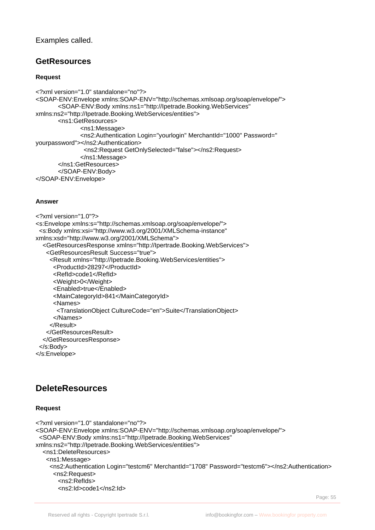#### Examples called.

# **GetResources**

#### **Request**

```
<?xml version="1.0" standalone="no"?>
<SOAP-ENV:Envelope xmlns:SOAP-ENV="http://schemas.xmlsoap.org/soap/envelope/">
       <SOAP-ENV:Body xmlns:ns1="http://Ipetrade.Booking.WebServices" 
xmlns:ns2="http://Ipetrade.Booking.WebServices/entities">
       <ns1:GetResources>
              <ns1:Message>
              <ns2:Authentication Login="yourlogin" MerchantId="1000" Password=" 
yourpassword"></ns2:Authentication>
                <ns2:Request GetOnlySelected="false"></ns2:Request>
              </ns1:Message>
       </ns1:GetResources>
       </SOAP-ENV:Body>
</SOAP-ENV:Envelope>
```
#### **Answer**

```
<?xml version="1.0"?>
<s:Envelope xmlns:s="http://schemas.xmlsoap.org/soap/envelope/">
  <s:Body xmlns:xsi="http://www.w3.org/2001/XMLSchema-instance" 
xmlns:xsd="http://www.w3.org/2001/XMLSchema">
   <GetResourcesResponse xmlns="http://Ipertrade.Booking.WebServices">
    <GetResourcesResult Success="true">
     <Result xmlns="http://Ipetrade.Booking.WebServices/entities">
       <ProductId>28297</ProductId>
       <RefId>code1</RefId>
       <Weight>0</Weight>
       <Enabled>true</Enabled>
       <MainCategoryId>841</MainCategoryId>
       <Names>
        <TranslationObject CultureCode="en">Suite</TranslationObject>
       </Names> 
     </Result>
    </GetResourcesResult>
   </GetResourcesResponse>
  </s:Body>
</s:Envelope>
```
# **DeleteResources**

#### **Request**

```
<?xml version="1.0" standalone="no"?>
<SOAP-ENV:Envelope xmlns:SOAP-ENV="http://schemas.xmlsoap.org/soap/envelope/">
  <SOAP-ENV:Body xmlns:ns1="http://Ipetrade.Booking.WebServices" 
xmlns:ns2="http://Ipetrade.Booking.WebServices/entities">
   <ns1:DeleteResources>
    <ns1:Message>
     <ns2:Authentication Login="testcm6" MerchantId="1708" Password="testcm6"></ns2:Authentication>
      <ns2:Request>
       <ns2:RefIds>
       <ns2:Id>code1</ns2:Id>
```
Page: 55 and 2012 and 2012 and 2012 and 2012 and 2012 and 2012 and 2012 and 2012 and 2012 and 2012 and 2012 and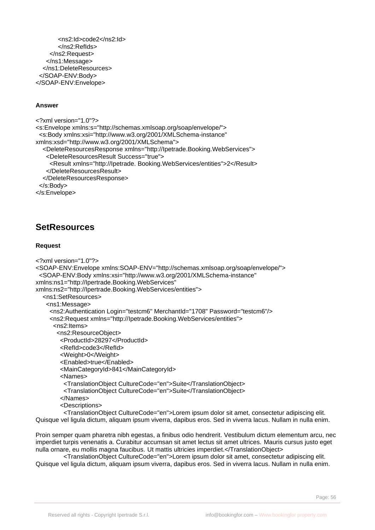```
<ns2:Id>code2</ns2:Id>
       </ns2:RefIds>
     </ns2:Request>
    </ns1:Message>
   </ns1:DeleteResources>
  </SOAP-ENV:Body>
</SOAP-ENV:Envelope>
```
#### **Answer**

```
<?xml version="1.0"?>
<s:Envelope xmlns:s="http://schemas.xmlsoap.org/soap/envelope/">
  <s:Body xmlns:xsi="http://www.w3.org/2001/XMLSchema-instance" 
xmlns:xsd="http://www.w3.org/2001/XMLSchema">
   <DeleteResourcesResponse xmlns="http://Ipetrade.Booking.WebServices">
    <DeleteResourcesResult Success="true">
     <Result xmlns="http://Ipetrade. Booking.WebServices/entities">2</Result>
    </DeleteResourcesResult>
   </DeleteResourcesResponse>
  </s:Body>
</s:Envelope>
```
# **SetResources**

#### **Request**

```
<?xml version="1.0"?>
<SOAP-ENV:Envelope xmlns:SOAP-ENV="http://schemas.xmlsoap.org/soap/envelope/">
  <SOAP-ENV:Body xmlns:xsi="http://www.w3.org/2001/XMLSchema-instance" 
xmlns:ns1="http://Ipertrade.Booking.WebServices" 
xmlns:ns2="http://Ipertrade.Booking.WebServices/entities">
   <ns1:SetResources>
    <ns1:Message>
     <ns2:Authentication Login="testcm6" MerchantId="1708" Password="testcm6"/>
     <ns2:Request xmlns="http://Ipetrade.Booking.WebServices/entities">
       <ns2:Items>
        <ns2:ResourceObject>
         <ProductId>28297</ProductId>
         <RefId>code3</RefId>
         <Weight>0</Weight>
         <Enabled>true</Enabled>
         <MainCategoryId>841</MainCategoryId>
         <Names>
          <TranslationObject CultureCode="en">Suite</TranslationObject>
          <TranslationObject CultureCode="en">Suite</TranslationObject>
         </Names>
         <Descriptions>
```
 <TranslationObject CultureCode="en">Lorem ipsum dolor sit amet, consectetur adipiscing elit. Quisque vel ligula dictum, aliquam ipsum viverra, dapibus eros. Sed in viverra lacus. Nullam in nulla enim.

Proin semper quam pharetra nibh egestas, a finibus odio hendrerit. Vestibulum dictum elementum arcu, nec imperdiet turpis venenatis a. Curabitur accumsan sit amet lectus sit amet ultrices. Mauris cursus justo eget nulla ornare, eu mollis magna faucibus. Ut mattis ultricies imperdiet.</TranslationObject>

 <TranslationObject CultureCode="en">Lorem ipsum dolor sit amet, consectetur adipiscing elit. Quisque vel ligula dictum, aliquam ipsum viverra, dapibus eros. Sed in viverra lacus. Nullam in nulla enim.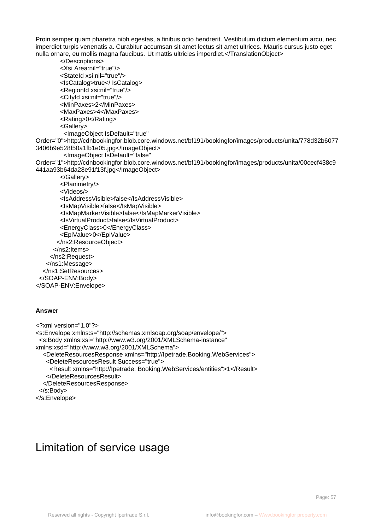Proin semper quam pharetra nibh egestas, a finibus odio hendrerit. Vestibulum dictum elementum arcu, nec imperdiet turpis venenatis a. Curabitur accumsan sit amet lectus sit amet ultrices. Mauris cursus justo eget nulla ornare, eu mollis magna faucibus. Ut mattis ultricies imperdiet.</TranslationObject>

```
 </Descriptions>
         <Xsi Area:nil="true"/>
         <StateId xsi:nil="true"/>
         <IsCatalog>true</ IsCatalog>
         <RegionId xsi:nil="true"/>
         <CityId xsi:nil="true"/>
         <MinPaxes>2</MinPaxes>
         <MaxPaxes>4</MaxPaxes>
         <Rating>0</Rating>
         <Gallery>
           <ImageObject IsDefault="true" 
Order="0">http://cdnbookingfor.blob.core.windows.net/bf191/bookingfor/images/products/unita/778d32b6077
3406b9e528f50a1fb1e05.jpg</ImageObject>
           <ImageObject IsDefault="false" 
Order="1">http://cdnbookingfor.blob.core.windows.net/bf191/bookingfor/images/products/unita/00cecf438c9
441aa93b64da28e91f13f.jpg</ImageObject>
         </Gallery>
         <Planimetry/>
         <Videos/>
         <IsAddressVisible>false</IsAddressVisible>
         <IsMapVisible>false</IsMapVisible>
         <IsMapMarkerVisible>false</IsMapMarkerVisible>
         <IsVirtualProduct>false</IsVirtualProduct>
         <EnergyClass>0</EnergyClass>
         <EpiValue>0</EpiValue>
        </ns2:ResourceObject>
       </ns2:Items>
     </ns2:Request>
    </ns1:Message>
   </ns1:SetResources>
  </SOAP-ENV:Body>
</SOAP-ENV:Envelope>
```
#### **Answer**

```
<?xml version="1.0"?>
<s:Envelope xmlns:s="http://schemas.xmlsoap.org/soap/envelope/">
  <s:Body xmlns:xsi="http://www.w3.org/2001/XMLSchema-instance" 
xmlns:xsd="http://www.w3.org/2001/XMLSchema">
   <DeleteResourcesResponse xmlns="http://Ipetrade.Booking.WebServices">
    <DeleteResourcesResult Success="true">
     <Result xmlns="http://Ipetrade. Booking.WebServices/entities">1</Result>
    </DeleteResourcesResult>
   </DeleteResourcesResponse>
  </s:Body>
</s:Envelope>
```
# <span id="page-56-0"></span>Limitation of service usage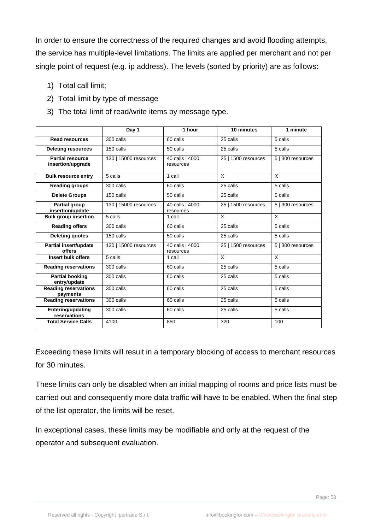In order to ensure the correctness of the required changes and avoid flooding attempts, the service has multiple-level limitations. The limits are applied per merchant and not per single point of request (e.g. ip address). The levels (sorted by priority) are as follows:

- 1) Total call limit;
- 2) Total limit by type of message
- 3) The total limit of read/write items by message type.

|                                              | Day 1                 | 1 hour                       | 10 minutes          | 1 minute          |
|----------------------------------------------|-----------------------|------------------------------|---------------------|-------------------|
| <b>Read resources</b>                        | 300 calls             | 60 calls                     | 25 calls            | 5 calls           |
| <b>Deleting resources</b>                    | 150 calls             | 50 calls                     | 25 calls            | 5 calls           |
| <b>Partial resource</b><br>insertion/upgrade | 130   15000 resources | 40 calls   4000<br>resources | 25   1500 resources | 5   300 resources |
| <b>Bulk resource entry</b>                   | 5 calls               | 1 call                       | X                   | X                 |
| <b>Reading groups</b>                        | 300 calls             | 60 calls                     | 25 calls            | 5 calls           |
| <b>Delete Groups</b>                         | 150 calls             | 50 calls                     | 25 calls            | 5 calls           |
| <b>Partial group</b><br>insertion/update     | 130   15000 resources | 40 calls   4000<br>resources | 25   1500 resources | 5   300 resources |
| <b>Bulk group insertion</b>                  | 5 calls               | 1 call                       | X                   | X                 |
| <b>Reading offers</b>                        | 300 calls             | 60 calls                     | 25 calls            | 5 calls           |
| <b>Deleting quotes</b>                       | 150 calls             | 50 calls                     | 25 calls            | 5 calls           |
| Partial insert/update<br>offers              | 130   15000 resources | 40 calls   4000<br>resources | 25   1500 resources | 5   300 resources |
| Insert bulk offers                           | 5 calls               | 1 call                       | X                   | $\overline{X}$    |
| <b>Reading reservations</b>                  | 300 calls             | 60 calls                     | 25 calls            | 5 calls           |
| <b>Partial booking</b><br>entry/update       | 300 calls             | 60 calls                     | 25 calls            | 5 calls           |
| <b>Reading reservations</b><br>payments      | 300 calls             | 60 calls                     | 25 calls            | 5 calls           |
| <b>Reading reservations</b>                  | 300 calls             | 60 calls                     | 25 calls            | 5 calls           |
| <b>Entering/updating</b><br>reservations     | 300 calls             | 60 calls                     | 25 calls            | 5 calls           |
| <b>Total Service Calls</b>                   | 4100                  | 850                          | 320                 | 100               |

Exceeding these limits will result in a temporary blocking of access to merchant resources for 30 minutes.

These limits can only be disabled when an initial mapping of rooms and price lists must be carried out and consequently more data traffic will have to be enabled. When the final step of the list operator, the limits will be reset.

In exceptional cases, these limits may be modifiable and only at the request of the operator and subsequent evaluation.